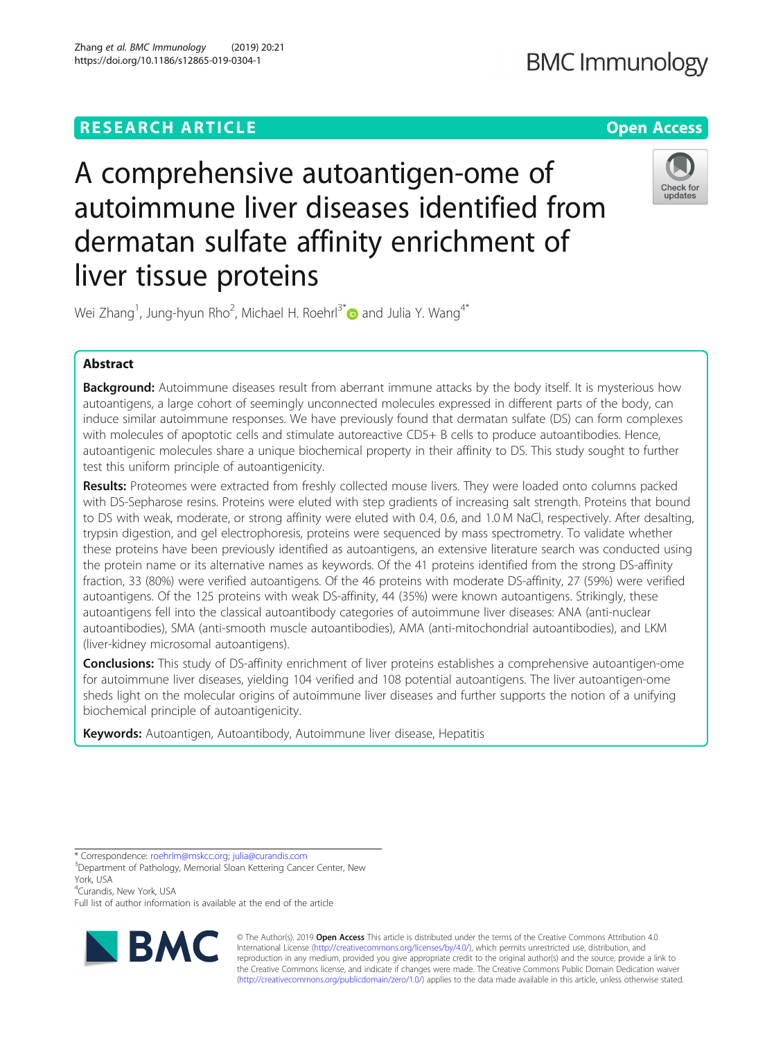## **RESEARCH ARTICLE Example 2018 12:30 THE Open Access**

# A comprehensive autoantigen-ome of autoimmune liver diseases identified from dermatan sulfate affinity enrichment of liver tissue proteins



Wei Zhang<sup>1</sup>, Jung-hyun Rho<sup>2</sup>, Michael H. Roehrl $^3$ ® and Julia Y. Wang $^{4^*}$ 

## Abstract

Background: Autoimmune diseases result from aberrant immune attacks by the body itself. It is mysterious how autoantigens, a large cohort of seemingly unconnected molecules expressed in different parts of the body, can induce similar autoimmune responses. We have previously found that dermatan sulfate (DS) can form complexes with molecules of apoptotic cells and stimulate autoreactive CD5+ B cells to produce autoantibodies. Hence, autoantigenic molecules share a unique biochemical property in their affinity to DS. This study sought to further test this uniform principle of autoantigenicity.

Results: Proteomes were extracted from freshly collected mouse livers. They were loaded onto columns packed with DS-Sepharose resins. Proteins were eluted with step gradients of increasing salt strength. Proteins that bound to DS with weak, moderate, or strong affinity were eluted with 0.4, 0.6, and 1.0 M NaCl, respectively. After desalting, trypsin digestion, and gel electrophoresis, proteins were sequenced by mass spectrometry. To validate whether these proteins have been previously identified as autoantigens, an extensive literature search was conducted using the protein name or its alternative names as keywords. Of the 41 proteins identified from the strong DS-affinity fraction, 33 (80%) were verified autoantigens. Of the 46 proteins with moderate DS-affinity, 27 (59%) were verified autoantigens. Of the 125 proteins with weak DS-affinity, 44 (35%) were known autoantigens. Strikingly, these autoantigens fell into the classical autoantibody categories of autoimmune liver diseases: ANA (anti-nuclear autoantibodies), SMA (anti-smooth muscle autoantibodies), AMA (anti-mitochondrial autoantibodies), and LKM (liver-kidney microsomal autoantigens).

**Conclusions:** This study of DS-affinity enrichment of liver proteins establishes a comprehensive autoantigen-ome for autoimmune liver diseases, yielding 104 verified and 108 potential autoantigens. The liver autoantigen-ome sheds light on the molecular origins of autoimmune liver diseases and further supports the notion of a unifying biochemical principle of autoantigenicity.

Keywords: Autoantigen, Autoantibody, Autoimmune liver disease, Hepatitis

\* Correspondence: [roehrlm@mskcc.org;](mailto:roehrlm@mskcc.org) [julia@curandis.com](mailto:julia@curandis.com) <sup>3</sup>

<sup>3</sup>Department of Pathology, Memorial Sloan Kettering Cancer Center, New York, USA

4 Curandis, New York, USA

Full list of author information is available at the end of the article



© The Author(s). 2019 **Open Access** This article is distributed under the terms of the Creative Commons Attribution 4.0 International License [\(http://creativecommons.org/licenses/by/4.0/](http://creativecommons.org/licenses/by/4.0/)), which permits unrestricted use, distribution, and reproduction in any medium, provided you give appropriate credit to the original author(s) and the source, provide a link to the Creative Commons license, and indicate if changes were made. The Creative Commons Public Domain Dedication waiver [\(http://creativecommons.org/publicdomain/zero/1.0/](http://creativecommons.org/publicdomain/zero/1.0/)) applies to the data made available in this article, unless otherwise stated.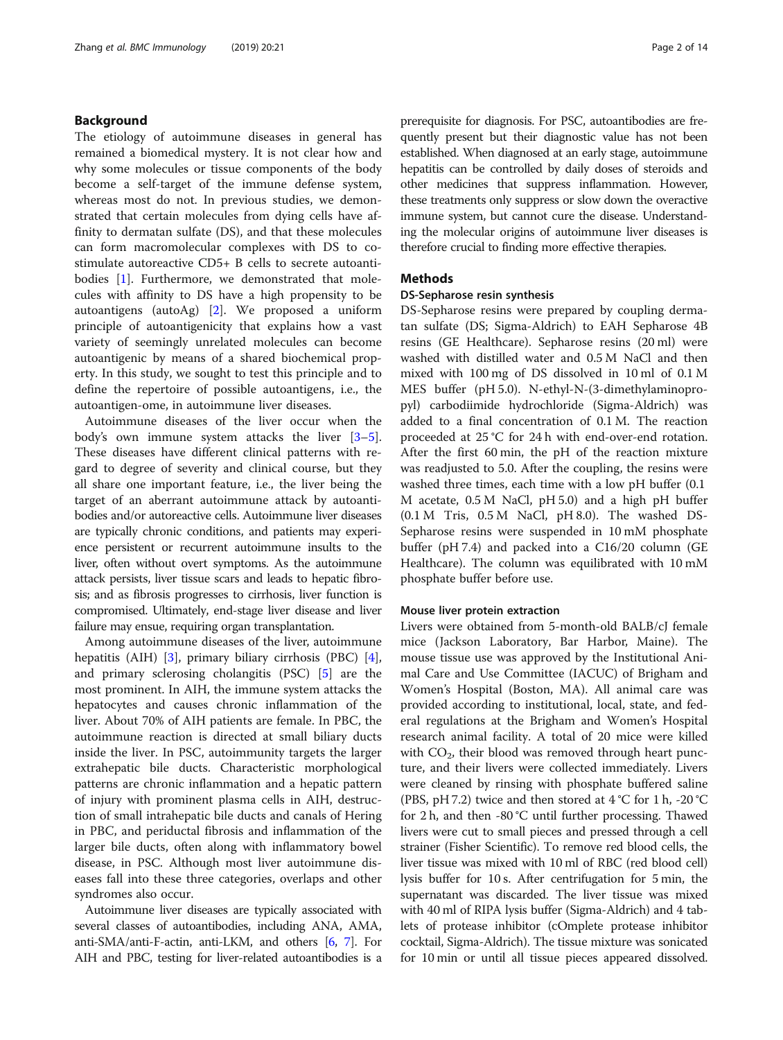## Background

The etiology of autoimmune diseases in general has remained a biomedical mystery. It is not clear how and why some molecules or tissue components of the body become a self-target of the immune defense system, whereas most do not. In previous studies, we demonstrated that certain molecules from dying cells have affinity to dermatan sulfate (DS), and that these molecules can form macromolecular complexes with DS to costimulate autoreactive CD5+ B cells to secrete autoantibodies [[1](#page-11-0)]. Furthermore, we demonstrated that molecules with affinity to DS have a high propensity to be autoantigens (autoAg) [\[2\]](#page-11-0). We proposed a uniform principle of autoantigenicity that explains how a vast variety of seemingly unrelated molecules can become autoantigenic by means of a shared biochemical property. In this study, we sought to test this principle and to define the repertoire of possible autoantigens, i.e., the autoantigen-ome, in autoimmune liver diseases.

Autoimmune diseases of the liver occur when the body's own immune system attacks the liver [\[3](#page-11-0)–[5](#page-11-0)]. These diseases have different clinical patterns with regard to degree of severity and clinical course, but they all share one important feature, i.e., the liver being the target of an aberrant autoimmune attack by autoantibodies and/or autoreactive cells. Autoimmune liver diseases are typically chronic conditions, and patients may experience persistent or recurrent autoimmune insults to the liver, often without overt symptoms. As the autoimmune attack persists, liver tissue scars and leads to hepatic fibrosis; and as fibrosis progresses to cirrhosis, liver function is compromised. Ultimately, end-stage liver disease and liver failure may ensue, requiring organ transplantation.

Among autoimmune diseases of the liver, autoimmune hepatitis (AIH) [[3](#page-11-0)], primary biliary cirrhosis (PBC) [\[4](#page-11-0)], and primary sclerosing cholangitis (PSC) [\[5\]](#page-11-0) are the most prominent. In AIH, the immune system attacks the hepatocytes and causes chronic inflammation of the liver. About 70% of AIH patients are female. In PBC, the autoimmune reaction is directed at small biliary ducts inside the liver. In PSC, autoimmunity targets the larger extrahepatic bile ducts. Characteristic morphological patterns are chronic inflammation and a hepatic pattern of injury with prominent plasma cells in AIH, destruction of small intrahepatic bile ducts and canals of Hering in PBC, and periductal fibrosis and inflammation of the larger bile ducts, often along with inflammatory bowel disease, in PSC. Although most liver autoimmune diseases fall into these three categories, overlaps and other syndromes also occur.

Autoimmune liver diseases are typically associated with several classes of autoantibodies, including ANA, AMA, anti-SMA/anti-F-actin, anti-LKM, and others [\[6,](#page-11-0) [7\]](#page-11-0). For AIH and PBC, testing for liver-related autoantibodies is a prerequisite for diagnosis. For PSC, autoantibodies are frequently present but their diagnostic value has not been established. When diagnosed at an early stage, autoimmune hepatitis can be controlled by daily doses of steroids and other medicines that suppress inflammation. However, these treatments only suppress or slow down the overactive immune system, but cannot cure the disease. Understanding the molecular origins of autoimmune liver diseases is therefore crucial to finding more effective therapies.

## Methods

## DS-Sepharose resin synthesis

DS-Sepharose resins were prepared by coupling dermatan sulfate (DS; Sigma-Aldrich) to EAH Sepharose 4B resins (GE Healthcare). Sepharose resins (20 ml) were washed with distilled water and 0.5 M NaCl and then mixed with 100 mg of DS dissolved in 10 ml of 0.1 M MES buffer (pH 5.0). N-ethyl-N-(3-dimethylaminopropyl) carbodiimide hydrochloride (Sigma-Aldrich) was added to a final concentration of 0.1 M. The reaction proceeded at 25 °C for 24 h with end-over-end rotation. After the first 60 min, the pH of the reaction mixture was readjusted to 5.0. After the coupling, the resins were washed three times, each time with a low pH buffer (0.1 M acetate, 0.5 M NaCl, pH 5.0) and a high pH buffer (0.1 M Tris, 0.5 M NaCl, pH 8.0). The washed DS-Sepharose resins were suspended in 10 mM phosphate buffer (pH 7.4) and packed into a C16/20 column (GE Healthcare). The column was equilibrated with 10 mM phosphate buffer before use.

## Mouse liver protein extraction

Livers were obtained from 5-month-old BALB/cJ female mice (Jackson Laboratory, Bar Harbor, Maine). The mouse tissue use was approved by the Institutional Animal Care and Use Committee (IACUC) of Brigham and Women's Hospital (Boston, MA). All animal care was provided according to institutional, local, state, and federal regulations at the Brigham and Women's Hospital research animal facility. A total of 20 mice were killed with  $CO<sub>2</sub>$ , their blood was removed through heart puncture, and their livers were collected immediately. Livers were cleaned by rinsing with phosphate buffered saline (PBS, pH 7.2) twice and then stored at  $4^{\circ}$ C for 1 h, -20  $^{\circ}$ C for 2 h, and then -80 °C until further processing. Thawed livers were cut to small pieces and pressed through a cell strainer (Fisher Scientific). To remove red blood cells, the liver tissue was mixed with 10 ml of RBC (red blood cell) lysis buffer for 10 s. After centrifugation for 5 min, the supernatant was discarded. The liver tissue was mixed with 40 ml of RIPA lysis buffer (Sigma-Aldrich) and 4 tablets of protease inhibitor (cOmplete protease inhibitor cocktail, Sigma-Aldrich). The tissue mixture was sonicated for 10 min or until all tissue pieces appeared dissolved.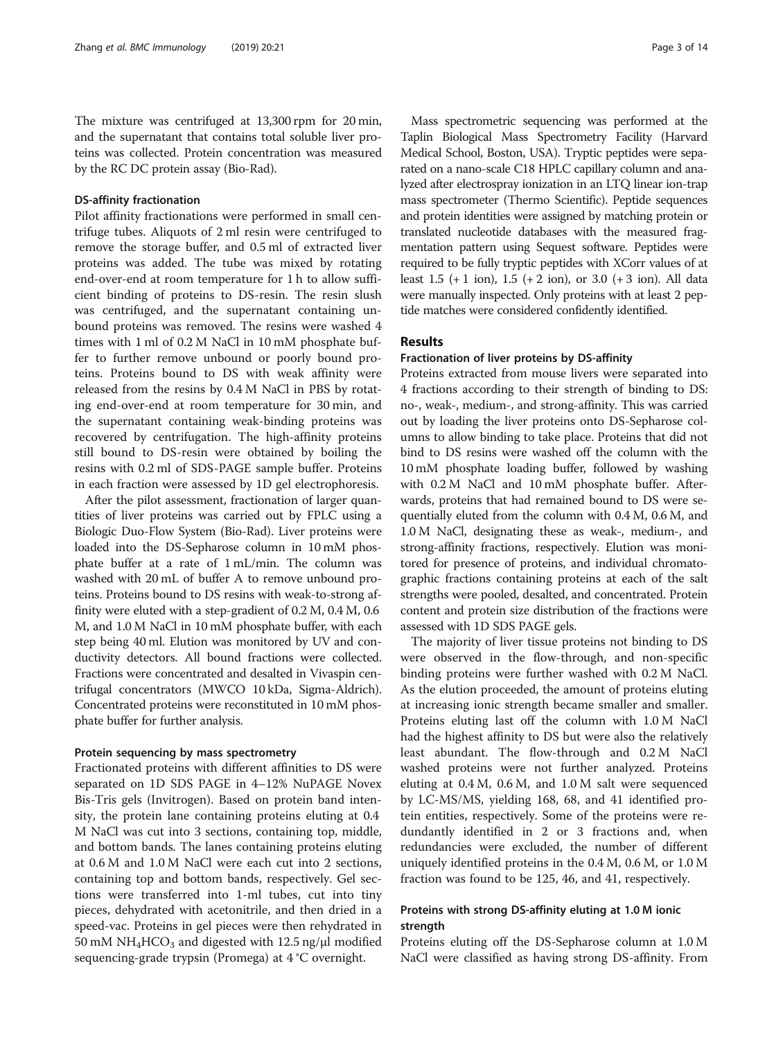The mixture was centrifuged at 13,300 rpm for 20 min, and the supernatant that contains total soluble liver proteins was collected. Protein concentration was measured by the RC DC protein assay (Bio-Rad).

## DS-affinity fractionation

Pilot affinity fractionations were performed in small centrifuge tubes. Aliquots of 2 ml resin were centrifuged to remove the storage buffer, and 0.5 ml of extracted liver proteins was added. The tube was mixed by rotating end-over-end at room temperature for 1 h to allow sufficient binding of proteins to DS-resin. The resin slush was centrifuged, and the supernatant containing unbound proteins was removed. The resins were washed 4 times with 1 ml of 0.2 M NaCl in 10 mM phosphate buffer to further remove unbound or poorly bound proteins. Proteins bound to DS with weak affinity were released from the resins by 0.4 M NaCl in PBS by rotating end-over-end at room temperature for 30 min, and the supernatant containing weak-binding proteins was recovered by centrifugation. The high-affinity proteins still bound to DS-resin were obtained by boiling the resins with 0.2 ml of SDS-PAGE sample buffer. Proteins in each fraction were assessed by 1D gel electrophoresis.

After the pilot assessment, fractionation of larger quantities of liver proteins was carried out by FPLC using a Biologic Duo-Flow System (Bio-Rad). Liver proteins were loaded into the DS-Sepharose column in 10 mM phosphate buffer at a rate of 1 mL/min. The column was washed with 20 mL of buffer A to remove unbound proteins. Proteins bound to DS resins with weak-to-strong affinity were eluted with a step-gradient of 0.2 M, 0.4 M, 0.6 M, and 1.0 M NaCl in 10 mM phosphate buffer, with each step being 40 ml. Elution was monitored by UV and conductivity detectors. All bound fractions were collected. Fractions were concentrated and desalted in Vivaspin centrifugal concentrators (MWCO 10 kDa, Sigma-Aldrich). Concentrated proteins were reconstituted in 10 mM phosphate buffer for further analysis.

## Protein sequencing by mass spectrometry

Fractionated proteins with different affinities to DS were separated on 1D SDS PAGE in 4–12% NuPAGE Novex Bis-Tris gels (Invitrogen). Based on protein band intensity, the protein lane containing proteins eluting at 0.4 M NaCl was cut into 3 sections, containing top, middle, and bottom bands. The lanes containing proteins eluting at 0.6 M and 1.0 M NaCl were each cut into 2 sections, containing top and bottom bands, respectively. Gel sections were transferred into 1-ml tubes, cut into tiny pieces, dehydrated with acetonitrile, and then dried in a speed-vac. Proteins in gel pieces were then rehydrated in 50 mM  $NH_4HCO_3$  and digested with 12.5 ng/ $\mu$ l modified sequencing-grade trypsin (Promega) at 4 °C overnight.

Mass spectrometric sequencing was performed at the Taplin Biological Mass Spectrometry Facility (Harvard Medical School, Boston, USA). Tryptic peptides were separated on a nano-scale C18 HPLC capillary column and analyzed after electrospray ionization in an LTQ linear ion-trap mass spectrometer (Thermo Scientific). Peptide sequences and protein identities were assigned by matching protein or translated nucleotide databases with the measured fragmentation pattern using Sequest software. Peptides were required to be fully tryptic peptides with XCorr values of at least 1.5  $(+ 1 \text{ ion})$ , 1.5  $(+ 2 \text{ ion})$ , or 3.0  $(+ 3 \text{ ion})$ . All data were manually inspected. Only proteins with at least 2 peptide matches were considered confidently identified.

## Results

## Fractionation of liver proteins by DS-affinity

Proteins extracted from mouse livers were separated into 4 fractions according to their strength of binding to DS: no-, weak-, medium-, and strong-affinity. This was carried out by loading the liver proteins onto DS-Sepharose columns to allow binding to take place. Proteins that did not bind to DS resins were washed off the column with the 10 mM phosphate loading buffer, followed by washing with  $0.2 M$  NaCl and  $10$  mM phosphate buffer. Afterwards, proteins that had remained bound to DS were sequentially eluted from the column with 0.4 M, 0.6 M, and 1.0 M NaCl, designating these as weak-, medium-, and strong-affinity fractions, respectively. Elution was monitored for presence of proteins, and individual chromatographic fractions containing proteins at each of the salt strengths were pooled, desalted, and concentrated. Protein content and protein size distribution of the fractions were assessed with 1D SDS PAGE gels.

The majority of liver tissue proteins not binding to DS were observed in the flow-through, and non-specific binding proteins were further washed with 0.2 M NaCl. As the elution proceeded, the amount of proteins eluting at increasing ionic strength became smaller and smaller. Proteins eluting last off the column with 1.0 M NaCl had the highest affinity to DS but were also the relatively least abundant. The flow-through and 0.2 M NaCl washed proteins were not further analyzed. Proteins eluting at 0.4 M, 0.6 M, and 1.0 M salt were sequenced by LC-MS/MS, yielding 168, 68, and 41 identified protein entities, respectively. Some of the proteins were redundantly identified in 2 or 3 fractions and, when redundancies were excluded, the number of different uniquely identified proteins in the 0.4 M, 0.6 M, or 1.0 M fraction was found to be 125, 46, and 41, respectively.

## Proteins with strong DS-affinity eluting at 1.0 M ionic strength

Proteins eluting off the DS-Sepharose column at 1.0 M NaCl were classified as having strong DS-affinity. From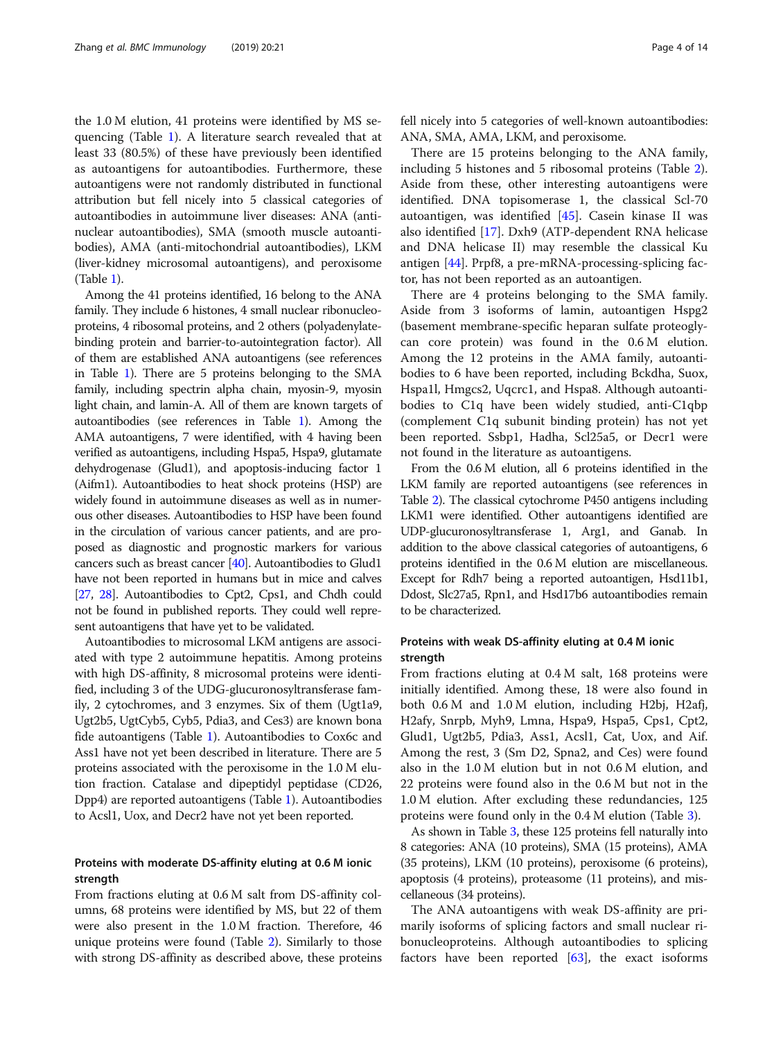the 1.0 M elution, 41 proteins were identified by MS sequencing (Table [1\)](#page-4-0). A literature search revealed that at least 33 (80.5%) of these have previously been identified as autoantigens for autoantibodies. Furthermore, these autoantigens were not randomly distributed in functional attribution but fell nicely into 5 classical categories of autoantibodies in autoimmune liver diseases: ANA (antinuclear autoantibodies), SMA (smooth muscle autoantibodies), AMA (anti-mitochondrial autoantibodies), LKM (liver-kidney microsomal autoantigens), and peroxisome (Table [1\)](#page-4-0).

Among the 41 proteins identified, 16 belong to the ANA family. They include 6 histones, 4 small nuclear ribonucleoproteins, 4 ribosomal proteins, and 2 others (polyadenylatebinding protein and barrier-to-autointegration factor). All of them are established ANA autoantigens (see references in Table [1](#page-4-0)). There are 5 proteins belonging to the SMA family, including spectrin alpha chain, myosin-9, myosin light chain, and lamin-A. All of them are known targets of autoantibodies (see references in Table [1\)](#page-4-0). Among the AMA autoantigens, 7 were identified, with 4 having been verified as autoantigens, including Hspa5, Hspa9, glutamate dehydrogenase (Glud1), and apoptosis-inducing factor 1 (Aifm1). Autoantibodies to heat shock proteins (HSP) are widely found in autoimmune diseases as well as in numerous other diseases. Autoantibodies to HSP have been found in the circulation of various cancer patients, and are proposed as diagnostic and prognostic markers for various cancers such as breast cancer [[40\]](#page-12-0). Autoantibodies to Glud1 have not been reported in humans but in mice and calves [[27](#page-12-0), [28](#page-12-0)]. Autoantibodies to Cpt2, Cps1, and Chdh could not be found in published reports. They could well represent autoantigens that have yet to be validated.

Autoantibodies to microsomal LKM antigens are associated with type 2 autoimmune hepatitis. Among proteins with high DS-affinity, 8 microsomal proteins were identified, including 3 of the UDG-glucuronosyltransferase family, 2 cytochromes, and 3 enzymes. Six of them (Ugt1a9, Ugt2b5, UgtCyb5, Cyb5, Pdia3, and Ces3) are known bona fide autoantigens (Table [1](#page-4-0)). Autoantibodies to Cox6c and Ass1 have not yet been described in literature. There are 5 proteins associated with the peroxisome in the 1.0 M elution fraction. Catalase and dipeptidyl peptidase (CD26, Dpp4) are reported autoantigens (Table [1\)](#page-4-0). Autoantibodies to Acsl1, Uox, and Decr2 have not yet been reported.

## Proteins with moderate DS-affinity eluting at 0.6 M ionic strength

From fractions eluting at 0.6 M salt from DS-affinity columns, 68 proteins were identified by MS, but 22 of them were also present in the 1.0 M fraction. Therefore, 46 unique proteins were found (Table [2\)](#page-5-0). Similarly to those with strong DS-affinity as described above, these proteins fell nicely into 5 categories of well-known autoantibodies: ANA, SMA, AMA, LKM, and peroxisome.

There are 15 proteins belonging to the ANA family, including 5 histones and 5 ribosomal proteins (Table [2](#page-5-0)). Aside from these, other interesting autoantigens were identified. DNA topisomerase 1, the classical Scl-70 autoantigen, was identified [[45](#page-12-0)]. Casein kinase II was also identified [\[17](#page-11-0)]. Dxh9 (ATP-dependent RNA helicase and DNA helicase II) may resemble the classical Ku antigen [[44\]](#page-12-0). Prpf8, a pre-mRNA-processing-splicing factor, has not been reported as an autoantigen.

There are 4 proteins belonging to the SMA family. Aside from 3 isoforms of lamin, autoantigen Hspg2 (basement membrane-specific heparan sulfate proteoglycan core protein) was found in the 0.6 M elution. Among the 12 proteins in the AMA family, autoantibodies to 6 have been reported, including Bckdha, Suox, Hspa1l, Hmgcs2, Uqcrc1, and Hspa8. Although autoantibodies to C1q have been widely studied, anti-C1qbp (complement C1q subunit binding protein) has not yet been reported. Ssbp1, Hadha, Scl25a5, or Decr1 were not found in the literature as autoantigens.

From the 0.6 M elution, all 6 proteins identified in the LKM family are reported autoantigens (see references in Table [2\)](#page-5-0). The classical cytochrome P450 antigens including LKM1 were identified. Other autoantigens identified are UDP-glucuronosyltransferase 1, Arg1, and Ganab. In addition to the above classical categories of autoantigens, 6 proteins identified in the 0.6 M elution are miscellaneous. Except for Rdh7 being a reported autoantigen, Hsd11b1, Ddost, Slc27a5, Rpn1, and Hsd17b6 autoantibodies remain to be characterized.

## Proteins with weak DS-affinity eluting at 0.4 M ionic strength

From fractions eluting at 0.4 M salt, 168 proteins were initially identified. Among these, 18 were also found in both 0.6 M and 1.0 M elution, including H2bj, H2afj, H2afy, Snrpb, Myh9, Lmna, Hspa9, Hspa5, Cps1, Cpt2, Glud1, Ugt2b5, Pdia3, Ass1, Acsl1, Cat, Uox, and Aif. Among the rest, 3 (Sm D2, Spna2, and Ces) were found also in the 1.0 M elution but in not 0.6 M elution, and 22 proteins were found also in the 0.6 M but not in the 1.0 M elution. After excluding these redundancies, 125 proteins were found only in the 0.4 M elution (Table [3\)](#page-7-0).

As shown in Table [3,](#page-7-0) these 125 proteins fell naturally into 8 categories: ANA (10 proteins), SMA (15 proteins), AMA (35 proteins), LKM (10 proteins), peroxisome (6 proteins), apoptosis (4 proteins), proteasome (11 proteins), and miscellaneous (34 proteins).

The ANA autoantigens with weak DS-affinity are primarily isoforms of splicing factors and small nuclear ribonucleoproteins. Although autoantibodies to splicing factors have been reported  $[63]$  $[63]$ , the exact isoforms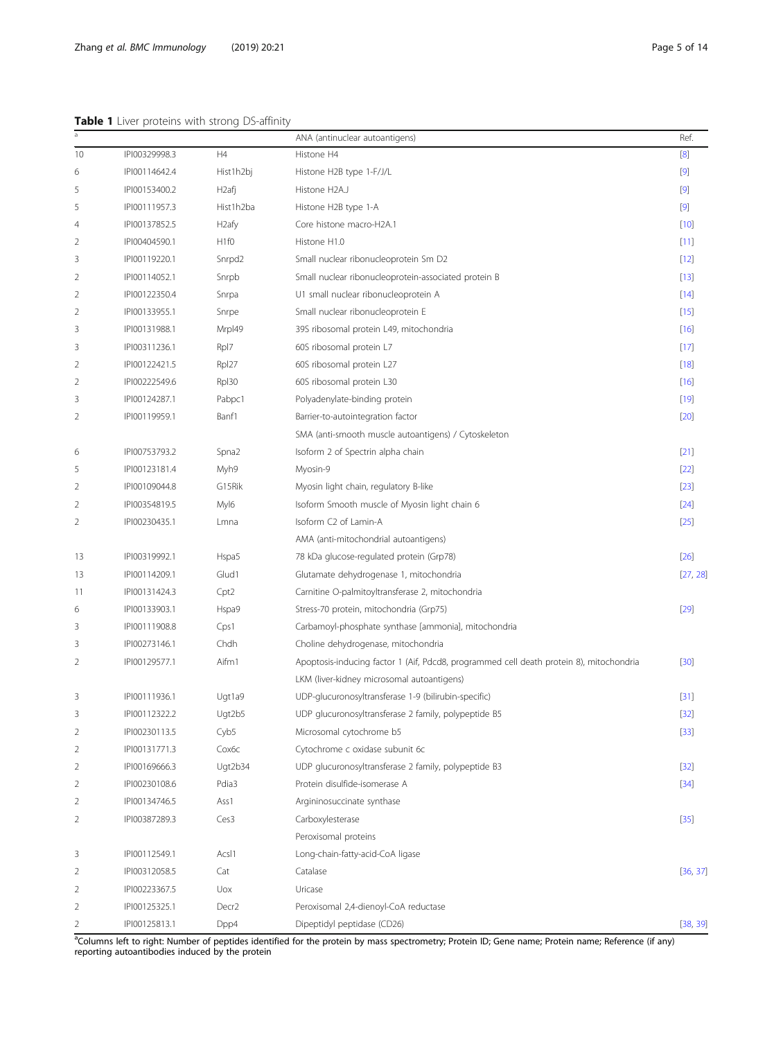## <span id="page-4-0"></span>Table 1 Liver proteins with strong DS-affinity

| 6              | IPI00114642.4 | Hist1h2bj          | Histone H2B type 1-F/J/L                                                                | $[9]$    |
|----------------|---------------|--------------------|-----------------------------------------------------------------------------------------|----------|
| 5              | IPI00153400.2 | H <sub>2</sub> afj | Histone H2A.J                                                                           | $[9]$    |
| 5              | IPI00111957.3 | Hist1h2ba          | Histone H2B type 1-A                                                                    | $[9]$    |
| 4              | IPI00137852.5 | H <sub>2</sub> afy | Core histone macro-H2A.1                                                                | $[10]$   |
| 2              | IPI00404590.1 | H <sub>1f0</sub>   | Histone H1.0                                                                            | $[11]$   |
| 3              | IPI00119220.1 | Snrpd <sub>2</sub> | Small nuclear ribonucleoprotein Sm D2                                                   | $[12]$   |
| 2              | IPI00114052.1 | Snrpb              | Small nuclear ribonucleoprotein-associated protein B                                    | $[13]$   |
| $\overline{2}$ | IPI00122350.4 | Snrpa              | U1 small nuclear ribonucleoprotein A                                                    | $[14]$   |
| 2              | IPI00133955.1 | Snrpe              | Small nuclear ribonucleoprotein E                                                       | $[15]$   |
| 3              | IPI00131988.1 | Mrpl49             | 39S ribosomal protein L49, mitochondria                                                 | $[16]$   |
| 3              | IPI00311236.1 | Rpl7               | 60S ribosomal protein L7                                                                | $[17]$   |
| 2              | IPI00122421.5 | Rpl27              | 60S ribosomal protein L27                                                               | $[18]$   |
| 2              | IPI00222549.6 | Rpl30              | 60S ribosomal protein L30                                                               | $[16]$   |
| 3              | IPI00124287.1 | Pabpc1             | Polyadenylate-binding protein                                                           | $[19]$   |
| 2              | IPI00119959.1 | Banf1              | Barrier-to-autointegration factor                                                       | $[20]$   |
|                |               |                    | SMA (anti-smooth muscle autoantigens) / Cytoskeleton                                    |          |
| 6              | IPI00753793.2 | Spna2              | Isoform 2 of Spectrin alpha chain                                                       | $[21]$   |
| 5              | IPI00123181.4 | Myh9               | Myosin-9                                                                                | $[22]$   |
| 2              | IPI00109044.8 | G15Rik             | Myosin light chain, regulatory B-like                                                   | $[23]$   |
| 2              | IPI00354819.5 | Myl6               | Isoform Smooth muscle of Myosin light chain 6                                           | $[24]$   |
| 2              | IPI00230435.1 | Lmna               | Isoform C2 of Lamin-A                                                                   | $[25]$   |
|                |               |                    | AMA (anti-mitochondrial autoantigens)                                                   |          |
| 13             | IPI00319992.1 | Hspa5              | 78 kDa glucose-regulated protein (Grp78)                                                | $[26]$   |
| 13             | IPI00114209.1 | Glud1              | Glutamate dehydrogenase 1, mitochondria                                                 | [27, 28] |
| 11             | IPI00131424.3 | Cpt2               | Carnitine O-palmitoyltransferase 2, mitochondria                                        |          |
| 6              | IPI00133903.1 | Hspa9              | Stress-70 protein, mitochondria (Grp75)                                                 | $[29]$   |
| 3              | IPI00111908.8 | Cps1               | Carbamoyl-phosphate synthase [ammonia], mitochondria                                    |          |
| 3              | IPI00273146.1 | Chdh               | Choline dehydrogenase, mitochondria                                                     |          |
| 2              | IPI00129577.1 | Aifm1              | Apoptosis-inducing factor 1 (Aif, Pdcd8, programmed cell death protein 8), mitochondria | $[30]$   |
|                |               |                    | LKM (liver-kidney microsomal autoantigens)                                              |          |
| 3              | IPI00111936.1 | Ugt1a9             | UDP-glucuronosyltransferase 1-9 (bilirubin-specific)                                    | $[31]$   |
| 3              | IPI00112322.2 | Ugt2b5             | UDP glucuronosyltransferase 2 family, polypeptide B5                                    | $[32]$   |
| 2              | IPI00230113.5 | Cyb5               | Microsomal cytochrome b5                                                                | $[33]$   |
| 2              | IPI00131771.3 | Сохбс              | Cytochrome c oxidase subunit 6c                                                         |          |
| 2              | IPI00169666.3 | Ugt2b34            | UDP glucuronosyltransferase 2 family, polypeptide B3                                    | $[32]$   |
| 2              | IPI00230108.6 | Pdia3              | Protein disulfide-isomerase A                                                           | $[34]$   |
| 2              | IPI00134746.5 | Ass1               | Argininosuccinate synthase                                                              |          |
| 2              | IPI00387289.3 | Ces <sub>3</sub>   | Carboxylesterase                                                                        | $[35]$   |
|                |               |                    | Peroxisomal proteins                                                                    |          |
| 3              | IPI00112549.1 | Acsl1              | Long-chain-fatty-acid-CoA ligase                                                        |          |
| 2              | IPI00312058.5 | Cat                | Catalase                                                                                | [36, 37] |
| 2              | IPI00223367.5 | Uox                | Uricase                                                                                 |          |
| 2              | IPI00125325.1 | Decr <sub>2</sub>  | Peroxisomal 2,4-dienoyl-CoA reductase                                                   |          |
| 2              | IPI00125813.1 | Dpp4               | Dipeptidyl peptidase (CD26)                                                             | [38, 39] |

10 IPI00329998.3 H4 Histone H4 [\[8\]](#page-11-0)

<sup>a</sup> ANA (antinuclear autoantigens) Ref.

<sup>a</sup>Columns left to right: Number of peptides identified for the protein by mass spectrometry; Protein ID; Gene name; Protein name; Reference (if any) reporting autoantibodies induced by the protein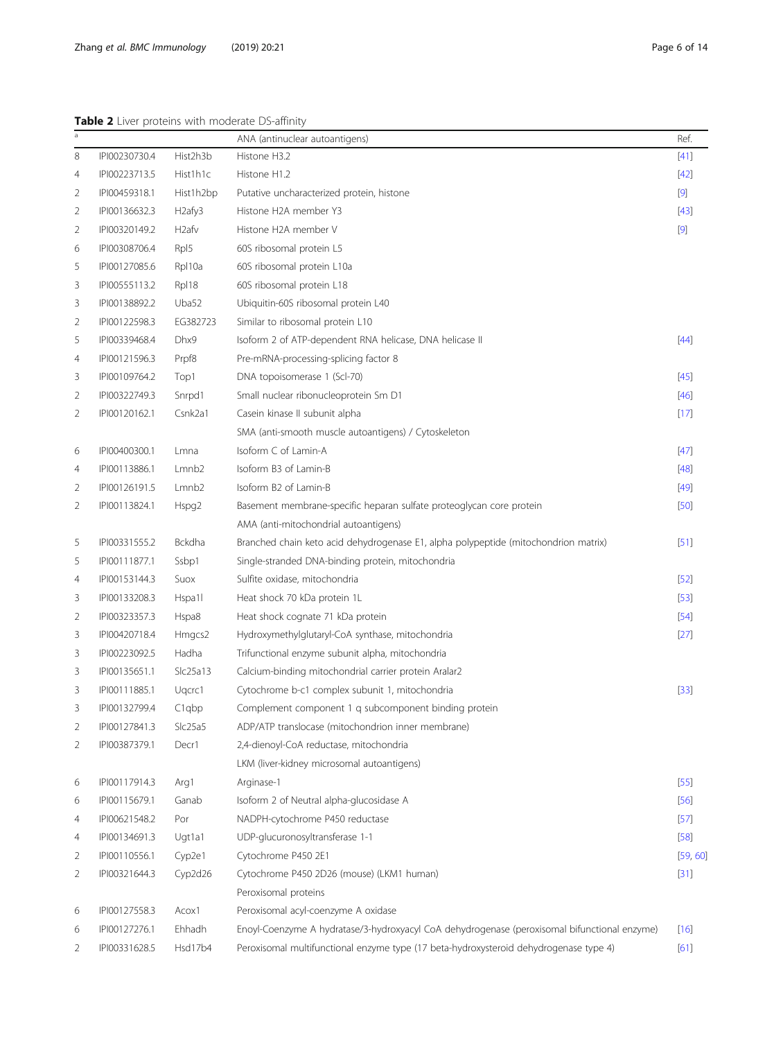## <span id="page-5-0"></span>Table 2 Liver proteins with moderate DS-affinity

| a              |               |                                 | ANA (antinuclear autoantigens)                                                               | Ref.     |
|----------------|---------------|---------------------------------|----------------------------------------------------------------------------------------------|----------|
| 8              | IPI00230730.4 | Hist2h3b                        | Histone H3.2                                                                                 | $[41]$   |
| 4              | IPI00223713.5 | Hist1h1c                        | Histone H1.2                                                                                 | $[42]$   |
| 2              | IPI00459318.1 | Hist1h2bp                       | Putative uncharacterized protein, histone                                                    | [9]      |
| 2              | IPI00136632.3 | H <sub>2</sub> afy <sub>3</sub> | Histone H2A member Y3                                                                        | $[43]$   |
| 2              | IPI00320149.2 | H <sub>2</sub> afv              | Histone H2A member V                                                                         | $[9]$    |
| 6              | IPI00308706.4 | RpI <sub>5</sub>                | 60S ribosomal protein L5                                                                     |          |
| 5              | IPI00127085.6 | Rpl10a                          | 60S ribosomal protein L10a                                                                   |          |
| 3              | IPI00555113.2 | Rpl18                           | 60S ribosomal protein L18                                                                    |          |
| 3              | IPI00138892.2 | Uba52                           | Ubiquitin-60S ribosomal protein L40                                                          |          |
| 2              | IPI00122598.3 | EG382723                        | Similar to ribosomal protein L10                                                             |          |
| 5              | IPI00339468.4 | Dhx9                            | Isoform 2 of ATP-dependent RNA helicase, DNA helicase II                                     | $[44]$   |
| 4              | IPI00121596.3 | Prpf8                           | Pre-mRNA-processing-splicing factor 8                                                        |          |
| 3              | IPI00109764.2 | Top1                            | DNA topoisomerase 1 (Scl-70)                                                                 | $[45]$   |
| 2              | IPI00322749.3 | Snrpd1                          | Small nuclear ribonucleoprotein Sm D1                                                        | $[46]$   |
| 2              | IPI00120162.1 | Csnk2a1                         | Casein kinase II subunit alpha                                                               | $[17]$   |
|                |               |                                 | SMA (anti-smooth muscle autoantigens) / Cytoskeleton                                         |          |
| 6              | IPI00400300.1 | Lmna                            | Isoform C of Lamin-A                                                                         | $[47]$   |
| 4              | IPI00113886.1 | Lmnb2                           | Isoform B3 of Lamin-B                                                                        | $[48]$   |
| 2              | IPI00126191.5 | Lmnb <sub>2</sub>               | Isoform B2 of Lamin-B                                                                        | $[49]$   |
| 2              | IPI00113824.1 | Hspg2                           | Basement membrane-specific heparan sulfate proteoglycan core protein                         | $[50]$   |
|                |               |                                 | AMA (anti-mitochondrial autoantigens)                                                        |          |
| 5              | IPI00331555.2 | Bckdha                          | Branched chain keto acid dehydrogenase E1, alpha polypeptide (mitochondrion matrix)          | $[51]$   |
| 5              | IPI00111877.1 | Ssbp1                           | Single-stranded DNA-binding protein, mitochondria                                            |          |
| 4              | IPI00153144.3 | Suox                            | Sulfite oxidase, mitochondria                                                                | $[52]$   |
| 3              | IPI00133208.3 | Hspa1l                          | Heat shock 70 kDa protein 1L                                                                 | $[53]$   |
| 2              | IPI00323357.3 | Hspa8                           | Heat shock cognate 71 kDa protein                                                            | $[54]$   |
| 3              | IPI00420718.4 | Hmgcs2                          | Hydroxymethylglutaryl-CoA synthase, mitochondria                                             | $[27]$   |
| 3              | IPI00223092.5 | Hadha                           | Trifunctional enzyme subunit alpha, mitochondria                                             |          |
| 3              | IPI00135651.1 | Slc25a13                        | Calcium-binding mitochondrial carrier protein Aralar2                                        |          |
| 3              | IPI00111885.1 | Ugcrc1                          | Cytochrome b-c1 complex subunit 1, mitochondria                                              | $[33]$   |
| 3              | IPI00132799.4 | C <sub>1</sub> qbp              | Complement component 1 q subcomponent binding protein                                        |          |
| 2              | IPI00127841.3 | Slc25a5                         | ADP/ATP translocase (mitochondrion inner membrane)                                           |          |
| $\overline{2}$ | IPI00387379.1 | Decr1                           | 2,4-dienoyl-CoA reductase, mitochondria                                                      |          |
|                |               |                                 | LKM (liver-kidney microsomal autoantigens)                                                   |          |
| 6              | IPI00117914.3 | Arg1                            | Arginase-1                                                                                   | $[55]$   |
| 6              | IPI00115679.1 | Ganab                           | Isoform 2 of Neutral alpha-glucosidase A                                                     | $[56]$   |
| 4              | IPI00621548.2 | Por                             | NADPH-cytochrome P450 reductase                                                              | $[57]$   |
| 4              | IPI00134691.3 | Ugt1a1                          | UDP-glucuronosyltransferase 1-1                                                              | $[58]$   |
| 2              | IPI00110556.1 | Cyp2e1                          | Cytochrome P450 2E1                                                                          | [59, 60] |
| 2              | IPI00321644.3 | Cyp2d26                         | Cytochrome P450 2D26 (mouse) (LKM1 human)                                                    | $[31]$   |
|                |               |                                 | Peroxisomal proteins                                                                         |          |
| 6              | IPI00127558.3 | Acox1                           | Peroxisomal acyl-coenzyme A oxidase                                                          |          |
| 6              | IPI00127276.1 | Ehhadh                          | Enoyl-Coenzyme A hydratase/3-hydroxyacyl CoA dehydrogenase (peroxisomal bifunctional enzyme) | $[16]$   |
| 2              | IPI00331628.5 | Hsd17b4                         | Peroxisomal multifunctional enzyme type (17 beta-hydroxysteroid dehydrogenase type 4)        | [61]     |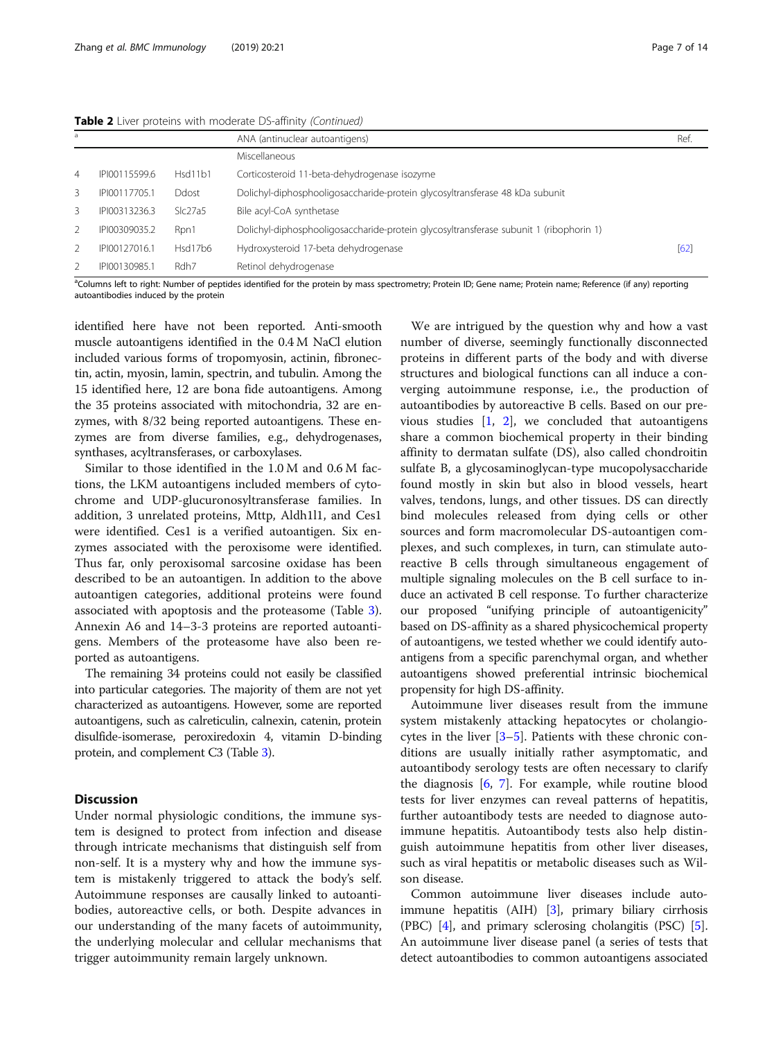|  | <b>Table 2</b> Liver proteins with moderate DS-affinity (Continued) |  |
|--|---------------------------------------------------------------------|--|
|  |                                                                     |  |

| a             |               |                  | ANA (antinuclear autoantigens)                                                         | Ref. |
|---------------|---------------|------------------|----------------------------------------------------------------------------------------|------|
|               |               |                  | Miscellaneous                                                                          |      |
| 4             | IPI00115599.6 | Hsd11b1          | Corticosteroid 11-beta-dehydrogenase isozyme                                           |      |
| 3             | IPI00117705.1 | Ddost            | Dolichyl-diphosphooligosaccharide-protein glycosyltransferase 48 kDa subunit           |      |
| 3             | IPI00313236.3 | Sc27a5           | Bile acyl-CoA synthetase                                                               |      |
| 2             | IPI00309035.2 | Rpn1             | Dolichyl-diphosphooligosaccharide-protein glycosyltransferase subunit 1 (ribophorin 1) |      |
| $\mathcal{L}$ | IPI00127016.1 | Hsd17b6          | Hydroxysteroid 17-beta dehydrogenase                                                   | [62] |
| $\mathcal{L}$ | IPI00130985.1 | Rdh <sub>7</sub> | Retinol dehydrogenase                                                                  |      |

a<br>Columns left to right: Number of peptides identified for the protein by mass spectrometry; Protein ID; Gene name; Protein name; Reference (if any) reporting autoantibodies induced by the protein

identified here have not been reported. Anti-smooth muscle autoantigens identified in the 0.4 M NaCl elution included various forms of tropomyosin, actinin, fibronectin, actin, myosin, lamin, spectrin, and tubulin. Among the 15 identified here, 12 are bona fide autoantigens. Among the 35 proteins associated with mitochondria, 32 are enzymes, with 8/32 being reported autoantigens. These enzymes are from diverse families, e.g., dehydrogenases, synthases, acyltransferases, or carboxylases.

Similar to those identified in the 1.0 M and 0.6 M factions, the LKM autoantigens included members of cytochrome and UDP-glucuronosyltransferase families. In addition, 3 unrelated proteins, Mttp, Aldh1l1, and Ces1 were identified. Ces1 is a verified autoantigen. Six enzymes associated with the peroxisome were identified. Thus far, only peroxisomal sarcosine oxidase has been described to be an autoantigen. In addition to the above autoantigen categories, additional proteins were found associated with apoptosis and the proteasome (Table [3](#page-7-0)). Annexin A6 and 14–3-3 proteins are reported autoantigens. Members of the proteasome have also been reported as autoantigens.

The remaining 34 proteins could not easily be classified into particular categories. The majority of them are not yet characterized as autoantigens. However, some are reported autoantigens, such as calreticulin, calnexin, catenin, protein disulfide-isomerase, peroxiredoxin 4, vitamin D-binding protein, and complement C3 (Table [3\)](#page-7-0).

## Discussion

Under normal physiologic conditions, the immune system is designed to protect from infection and disease through intricate mechanisms that distinguish self from non-self. It is a mystery why and how the immune system is mistakenly triggered to attack the body's self. Autoimmune responses are causally linked to autoantibodies, autoreactive cells, or both. Despite advances in our understanding of the many facets of autoimmunity, the underlying molecular and cellular mechanisms that trigger autoimmunity remain largely unknown.

We are intrigued by the question why and how a vast number of diverse, seemingly functionally disconnected proteins in different parts of the body and with diverse structures and biological functions can all induce a converging autoimmune response, i.e., the production of autoantibodies by autoreactive B cells. Based on our previous studies [[1](#page-11-0), [2\]](#page-11-0), we concluded that autoantigens share a common biochemical property in their binding affinity to dermatan sulfate (DS), also called chondroitin sulfate B, a glycosaminoglycan-type mucopolysaccharide found mostly in skin but also in blood vessels, heart valves, tendons, lungs, and other tissues. DS can directly bind molecules released from dying cells or other sources and form macromolecular DS-autoantigen complexes, and such complexes, in turn, can stimulate autoreactive B cells through simultaneous engagement of multiple signaling molecules on the B cell surface to induce an activated B cell response. To further characterize our proposed "unifying principle of autoantigenicity" based on DS-affinity as a shared physicochemical property of autoantigens, we tested whether we could identify autoantigens from a specific parenchymal organ, and whether autoantigens showed preferential intrinsic biochemical propensity for high DS-affinity.

Autoimmune liver diseases result from the immune system mistakenly attacking hepatocytes or cholangiocytes in the liver [[3](#page-11-0)–[5\]](#page-11-0). Patients with these chronic conditions are usually initially rather asymptomatic, and autoantibody serology tests are often necessary to clarify the diagnosis [[6,](#page-11-0) [7\]](#page-11-0). For example, while routine blood tests for liver enzymes can reveal patterns of hepatitis, further autoantibody tests are needed to diagnose autoimmune hepatitis. Autoantibody tests also help distinguish autoimmune hepatitis from other liver diseases, such as viral hepatitis or metabolic diseases such as Wilson disease.

Common autoimmune liver diseases include autoimmune hepatitis (AIH) [[3](#page-11-0)], primary biliary cirrhosis (PBC) [[4](#page-11-0)], and primary sclerosing cholangitis (PSC) [[5](#page-11-0)]. An autoimmune liver disease panel (a series of tests that detect autoantibodies to common autoantigens associated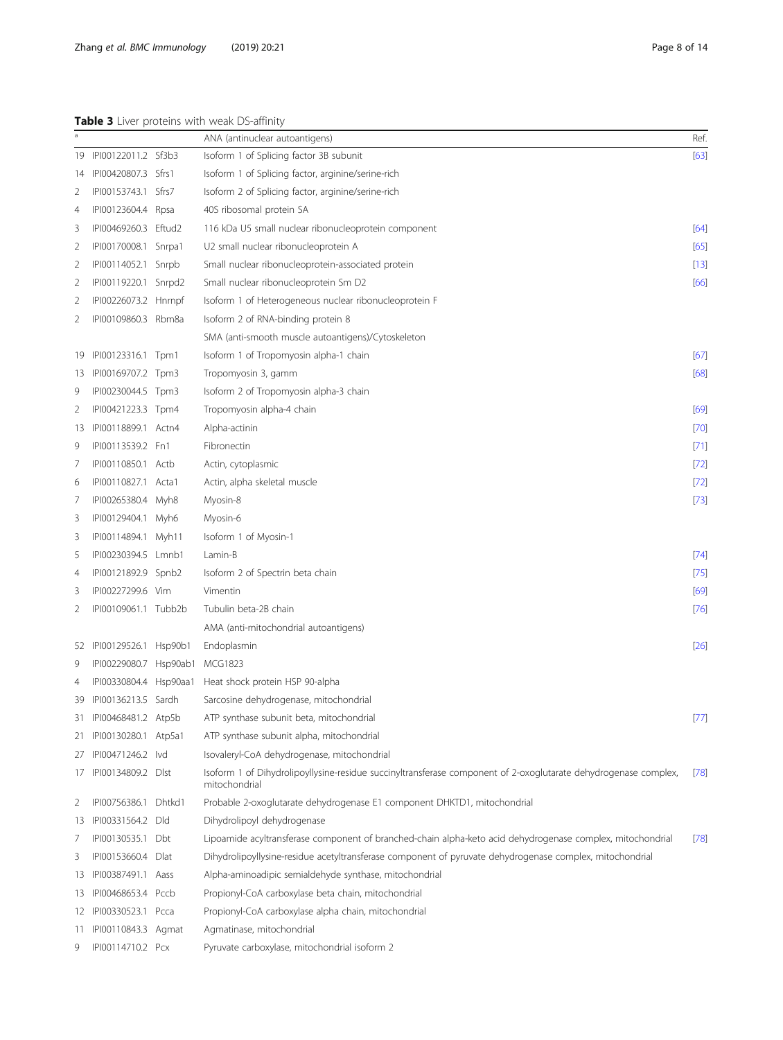## <span id="page-7-0"></span>Table 3 Liver proteins with weak DS-affinity

| $\rm{a}$       |                         | ANA (antinuclear autoantigens)                                                                                                   | Ref.   |
|----------------|-------------------------|----------------------------------------------------------------------------------------------------------------------------------|--------|
| 19             | IPI00122011.2 Sf3b3     | Isoform 1 of Splicing factor 3B subunit                                                                                          | [63]   |
| 14             | IPI00420807.3 Sfrs1     | Isoform 1 of Splicing factor, arginine/serine-rich                                                                               |        |
| 2              | IPI00153743.1 Sfrs7     | Isoform 2 of Splicing factor, arginine/serine-rich                                                                               |        |
| 4              | IPI00123604.4 Rpsa      | 40S ribosomal protein SA                                                                                                         |        |
| 3              | IPI00469260.3 Eftud2    | 116 kDa U5 small nuclear ribonucleoprotein component                                                                             | [64]   |
| 2              | IPI00170008.1 Snrpa1    | U2 small nuclear ribonucleoprotein A                                                                                             | [65]   |
| 2              | IPI00114052.1 Snrpb     | Small nuclear ribonucleoprotein-associated protein                                                                               | $[13]$ |
| $\overline{2}$ | IPI00119220.1 Snrpd2    | Small nuclear ribonucleoprotein Sm D2                                                                                            | [66]   |
| $\overline{2}$ | IPI00226073.2 Hnrnpf    | Isoform 1 of Heterogeneous nuclear ribonucleoprotein F                                                                           |        |
| 2              | IPI00109860.3 Rbm8a     | Isoform 2 of RNA-binding protein 8                                                                                               |        |
|                |                         | SMA (anti-smooth muscle autoantigens)/Cytoskeleton                                                                               |        |
|                | 19 IPI00123316.1 Tpm1   | Isoform 1 of Tropomyosin alpha-1 chain                                                                                           | [67]   |
|                | 13 IPI00169707.2 Tpm3   | Tropomyosin 3, gamm                                                                                                              | [68]   |
| 9              | IPI00230044.5 Tpm3      | Isoform 2 of Tropomyosin alpha-3 chain                                                                                           |        |
| 2              | IPI00421223.3 Tpm4      | Tropomyosin alpha-4 chain                                                                                                        | [69]   |
| 13             | IPI00118899.1 Actn4     | Alpha-actinin                                                                                                                    | $[70]$ |
| 9              | IPI00113539.2 Fn1       | Fibronectin                                                                                                                      | $[71]$ |
| 7              | IPI00110850.1 Actb      | Actin, cytoplasmic                                                                                                               | $[72]$ |
| 6              | IPI00110827.1 Acta1     | Actin, alpha skeletal muscle                                                                                                     | $[72]$ |
| 7              | IPI00265380.4 Myh8      | Myosin-8                                                                                                                         | $[73]$ |
| 3              | IPI00129404.1 Myh6      | Myosin-6                                                                                                                         |        |
| 3              | IPI00114894.1 Myh11     | Isoform 1 of Myosin-1                                                                                                            |        |
| 5              | IPI00230394.5 Lmnb1     | Lamin-B                                                                                                                          | $[74]$ |
| 4              | IPI00121892.9 Spnb2     | Isoform 2 of Spectrin beta chain                                                                                                 | $[75]$ |
| 3              | IPI00227299.6 Vim       | Vimentin                                                                                                                         | [69]   |
| 2              | IPI00109061.1 Tubb2b    | Tubulin beta-2B chain                                                                                                            | $[76]$ |
|                |                         | AMA (anti-mitochondrial autoantigens)                                                                                            |        |
| 52             | IPI00129526.1 Hsp90b1   | Endoplasmin                                                                                                                      | $[26]$ |
| 9              | IPI00229080.7 Hsp90ab1  | <b>MCG1823</b>                                                                                                                   |        |
| 4              | IPI00330804.4 Hsp90aa1  | Heat shock protein HSP 90-alpha                                                                                                  |        |
| 39             | IPI00136213.5 Sardh     | Sarcosine dehydrogenase, mitochondrial                                                                                           |        |
| 31             | IPI00468481.2 Atp5b     | ATP synthase subunit beta, mitochondrial                                                                                         | $[77]$ |
|                | 21 IPI00130280.1 Atp5a1 | ATP synthase subunit alpha, mitochondrial                                                                                        |        |
| 27             | IPI00471246.2 lvd       | Isovaleryl-CoA dehydrogenase, mitochondrial                                                                                      |        |
|                | 17 IPI00134809.2 Dlst   | Isoform 1 of Dihydrolipoyllysine-residue succinyltransferase component of 2-oxoglutarate dehydrogenase complex,<br>mitochondrial | $[78]$ |
| 2              | IPI00756386.1 Dhtkd1    | Probable 2-oxoglutarate dehydrogenase E1 component DHKTD1, mitochondrial                                                         |        |
| 13             | IPI00331564.2 Dld       | Dihydrolipoyl dehydrogenase                                                                                                      |        |
| 7              | IPI00130535.1 Dbt       | Lipoamide acyltransferase component of branched-chain alpha-keto acid dehydrogenase complex, mitochondrial                       | $[78]$ |
| 3              | IPI00153660.4 Dlat      | Dihydrolipoyllysine-residue acetyltransferase component of pyruvate dehydrogenase complex, mitochondrial                         |        |
| 13             | IPI00387491.1 Aass      | Alpha-aminoadipic semialdehyde synthase, mitochondrial                                                                           |        |
| 13             | IPI00468653.4 Pccb      | Propionyl-CoA carboxylase beta chain, mitochondrial                                                                              |        |
| 12             | IPI00330523.1 Pcca      | Propionyl-CoA carboxylase alpha chain, mitochondrial                                                                             |        |
| 11             | IPI00110843.3 Agmat     | Agmatinase, mitochondrial                                                                                                        |        |
| 9              | IPI00114710.2 Pcx       | Pyruvate carboxylase, mitochondrial isoform 2                                                                                    |        |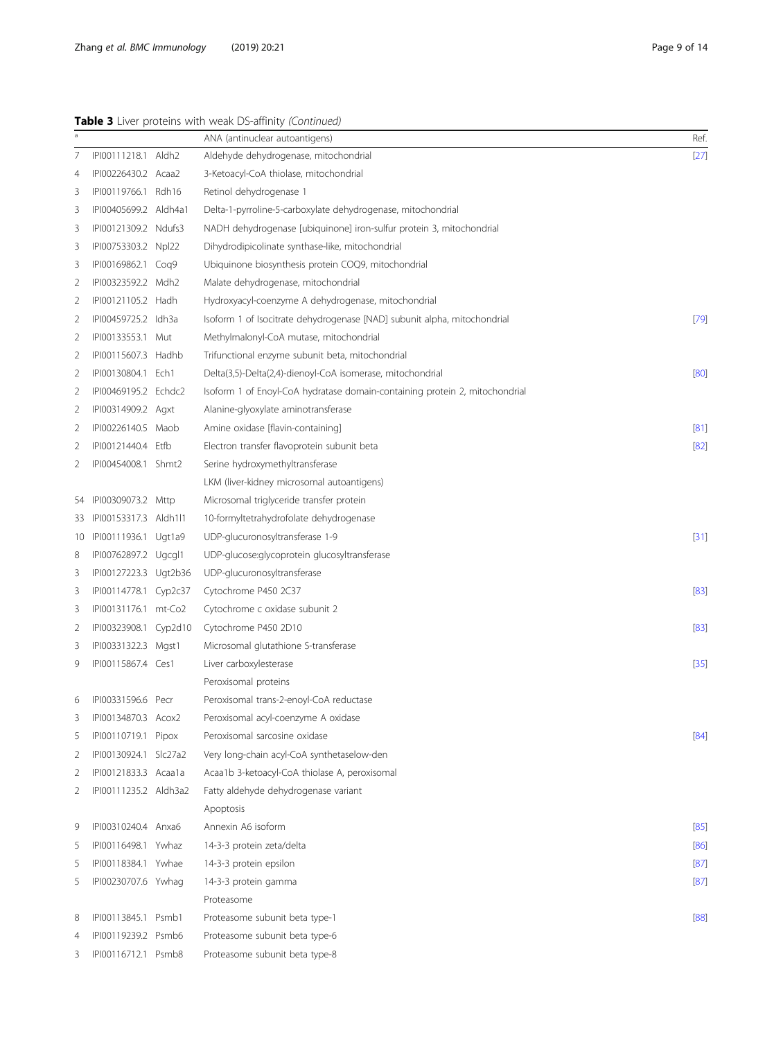## Table 3 Liver proteins with weak DS-affinity (Continued)

| $\rm{a}$       |                         | ANA (antinuclear autoantigens)                                              | Ref.   |
|----------------|-------------------------|-----------------------------------------------------------------------------|--------|
| 7              | IPI00111218.1 Aldh2     | Aldehyde dehydrogenase, mitochondrial                                       | $[27]$ |
| 4              | IPI00226430.2 Acaa2     | 3-Ketoacyl-CoA thiolase, mitochondrial                                      |        |
| 3              | IPI00119766.1 Rdh16     | Retinol dehydrogenase 1                                                     |        |
| 3              | IPI00405699.2 Aldh4a1   | Delta-1-pyrroline-5-carboxylate dehydrogenase, mitochondrial                |        |
| 3              | IPI00121309.2 Ndufs3    | NADH dehydrogenase [ubiquinone] iron-sulfur protein 3, mitochondrial        |        |
| 3              | IPI00753303.2 Npl22     | Dihydrodipicolinate synthase-like, mitochondrial                            |        |
| 3              | IPI00169862.1 Coq9      | Ubiquinone biosynthesis protein COQ9, mitochondrial                         |        |
| $\overline{2}$ | IPI00323592.2 Mdh2      | Malate dehydrogenase, mitochondrial                                         |        |
| $\overline{2}$ | IPI00121105.2 Hadh      | Hydroxyacyl-coenzyme A dehydrogenase, mitochondrial                         |        |
| 2              | IPI00459725.2 Idh3a     | Isoform 1 of Isocitrate dehydrogenase [NAD] subunit alpha, mitochondrial    | $[79]$ |
| 2              | IPI00133553.1 Mut       | Methylmalonyl-CoA mutase, mitochondrial                                     |        |
| 2              | IPI00115607.3 Hadhb     | Trifunctional enzyme subunit beta, mitochondrial                            |        |
| 2              | IPI00130804.1 Ech1      | Delta(3,5)-Delta(2,4)-dienoyl-CoA isomerase, mitochondrial                  | [80]   |
| 2              | IPI00469195.2 Echdc2    | Isoform 1 of Enoyl-CoA hydratase domain-containing protein 2, mitochondrial |        |
| 2              | IPI00314909.2 Agxt      | Alanine-glyoxylate aminotransferase                                         |        |
| 2              | IPI00226140.5 Maob      | Amine oxidase [flavin-containing]                                           | [81]   |
| 2              | IPI00121440.4 Etfb      | Electron transfer flavoprotein subunit beta                                 | $[82]$ |
| 2              | IPI00454008.1 Shmt2     | Serine hydroxymethyltransferase                                             |        |
|                |                         | LKM (liver-kidney microsomal autoantigens)                                  |        |
| 54             | IPI00309073.2 Mttp      | Microsomal triglyceride transfer protein                                    |        |
| 33             | IPI00153317.3 Aldh1l1   | 10-formyltetrahydrofolate dehydrogenase                                     |        |
|                | 10 IPI00111936.1 Ugt1a9 | UDP-glucuronosyltransferase 1-9                                             | $[31]$ |
| 8              | IPI00762897.2 Ugcgl1    | UDP-glucose:glycoprotein glucosyltransferase                                |        |
| 3              | IPI00127223.3 Ugt2b36   | UDP-glucuronosyltransferase                                                 |        |
| 3              | IPI00114778.1 Cyp2c37   | Cytochrome P450 2C37                                                        | $[83]$ |
| 3              | IPI00131176.1 mt-Co2    | Cytochrome c oxidase subunit 2                                              |        |
| $\overline{2}$ | IPI00323908.1 Cyp2d10   | Cytochrome P450 2D10                                                        | $[83]$ |
| 3              | IPI00331322.3 Mgst1     | Microsomal glutathione S-transferase                                        |        |
| 9              | IPI00115867.4 Ces1      | Liver carboxylesterase                                                      | $[35]$ |
|                |                         | Peroxisomal proteins                                                        |        |
| 6              | IPI00331596.6 Pecr      | Peroxisomal trans-2-enoyl-CoA reductase                                     |        |
| 3              | IPI00134870.3 Acox2     | Peroxisomal acyl-coenzyme A oxidase                                         |        |
| 5              | IPI00110719.1 Pipox     | Peroxisomal sarcosine oxidase                                               | $[84]$ |
| 2              | IPI00130924.1 Slc27a2   | Very long-chain acyl-CoA synthetaselow-den                                  |        |
| 2              | IPI00121833.3 Acaa1a    | Acaa1b 3-ketoacyl-CoA thiolase A, peroxisomal                               |        |
| 2              | IPI00111235.2 Aldh3a2   | Fatty aldehyde dehydrogenase variant                                        |        |
|                |                         | Apoptosis                                                                   |        |
| 9              | IPI00310240.4 Anxa6     | Annexin A6 isoform                                                          | $[85]$ |
| 5              | IPI00116498.1 Ywhaz     | 14-3-3 protein zeta/delta                                                   | $[86]$ |
| 5              | IPI00118384.1 Ywhae     | 14-3-3 protein epsilon                                                      | [87]   |
| 5              | IPI00230707.6 Ywhag     | 14-3-3 protein gamma                                                        | $[87]$ |
|                |                         | Proteasome                                                                  |        |
| 8              | IPI00113845.1 Psmb1     | Proteasome subunit beta type-1                                              | [88]   |
| 4              | IPI00119239.2 Psmb6     | Proteasome subunit beta type-6                                              |        |
| 3              | IPI00116712.1 Psmb8     | Proteasome subunit beta type-8                                              |        |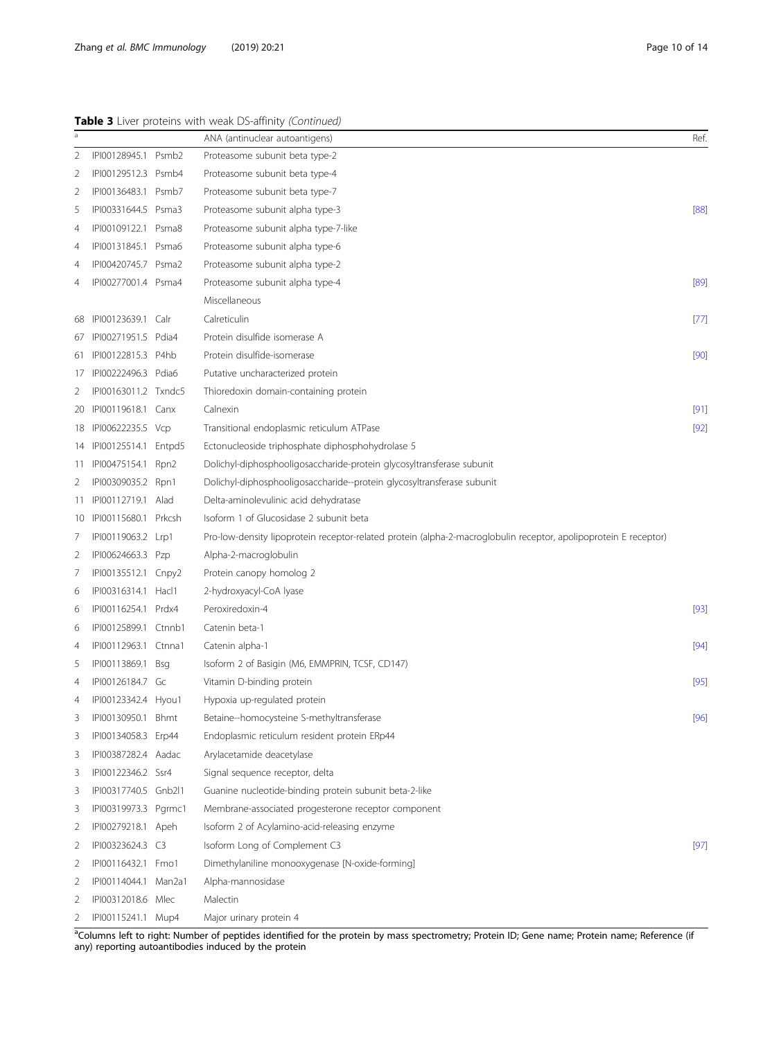## Table 3 Liver proteins with weak DS-affinity (Continued)

| a              |                      |                   | ANA (antinuclear autoantigens)                                                                                   | Ref.   |
|----------------|----------------------|-------------------|------------------------------------------------------------------------------------------------------------------|--------|
| 2              | IPI00128945.1        | Psmb <sub>2</sub> | Proteasome subunit beta type-2                                                                                   |        |
| 2              | IPI00129512.3 Psmb4  |                   | Proteasome subunit beta type-4                                                                                   |        |
| $\overline{2}$ | IPI00136483.1 Psmb7  |                   | Proteasome subunit beta type-7                                                                                   |        |
| 5              | IPI00331644.5        | Psma3             | Proteasome subunit alpha type-3                                                                                  | [88]   |
| 4              | IPI00109122.1        | Psma8             | Proteasome subunit alpha type-7-like                                                                             |        |
| 4              | IPI00131845.1 Psma6  |                   | Proteasome subunit alpha type-6                                                                                  |        |
| 4              | IPI00420745.7 Psma2  |                   | Proteasome subunit alpha type-2                                                                                  |        |
| 4              | IPI00277001.4 Psma4  |                   | Proteasome subunit alpha type-4                                                                                  | [89]   |
|                |                      |                   | Miscellaneous                                                                                                    |        |
| 68             | IPI00123639.1 Calr   |                   | Calreticulin                                                                                                     | $[77]$ |
| 67             | IPI00271951.5 Pdia4  |                   | Protein disulfide isomerase A                                                                                    |        |
| 61             | IPI00122815.3 P4hb   |                   | Protein disulfide-isomerase                                                                                      | [90]   |
| 17             | IPI00222496.3 Pdia6  |                   | Putative uncharacterized protein                                                                                 |        |
| 2              | IPI00163011.2 Txndc5 |                   | Thioredoxin domain-containing protein                                                                            |        |
| 20             | IPI00119618.1 Canx   |                   | Calnexin                                                                                                         | [91]   |
| 18             | IPI00622235.5 Vcp    |                   | Transitional endoplasmic reticulum ATPase                                                                        | $[92]$ |
| 14             | IPI00125514.1 Entpd5 |                   | Ectonucleoside triphosphate diphosphohydrolase 5                                                                 |        |
| 11.            | IPI00475154.1 Rpn2   |                   | Dolichyl-diphosphooligosaccharide-protein glycosyltransferase subunit                                            |        |
| 2              | IPI00309035.2 Rpn1   |                   | Dolichyl-diphosphooligosaccharide--protein glycosyltransferase subunit                                           |        |
| 11             | IPI00112719.1 Alad   |                   | Delta-aminolevulinic acid dehydratase                                                                            |        |
| 10             | IPI00115680.1        | Prkcsh            | Isoform 1 of Glucosidase 2 subunit beta                                                                          |        |
| 7              | IPI00119063.2 Lrp1   |                   | Pro-low-density lipoprotein receptor-related protein (alpha-2-macroglobulin receptor, apolipoprotein E receptor) |        |
| 2              | IPI00624663.3 Pzp    |                   | Alpha-2-macroglobulin                                                                                            |        |
| 7              | IPI00135512.1 Cnpy2  |                   | Protein canopy homolog 2                                                                                         |        |
| 6              | IPI00316314.1 Hacl1  |                   | 2-hydroxyacyl-CoA lyase                                                                                          |        |
| 6              | IPI00116254.1 Prdx4  |                   | Peroxiredoxin-4                                                                                                  | [93]   |
| 6              | IPI00125899.1 Ctnnb1 |                   | Catenin beta-1                                                                                                   |        |
| 4              | IPI00112963.1 Ctnna1 |                   | Catenin alpha-1                                                                                                  | [94]   |
| 5              | IPI00113869.1 Bsg    |                   | Isoform 2 of Basigin (M6, EMMPRIN, TCSF, CD147)                                                                  |        |
| 4              | IPI00126184.7 Gc     |                   | Vitamin D-binding protein                                                                                        | $[95]$ |
| 4              | IPI00123342.4 Hyou1  |                   | Hypoxia up-regulated protein                                                                                     |        |
| 3              | IPI00130950.1        | <b>Bhmt</b>       | Betaine--homocysteine S-methyltransferase                                                                        | [96]   |
| 3              | IPI00134058.3 Erp44  |                   | Endoplasmic reticulum resident protein ERp44                                                                     |        |
| 3              | IPI00387282.4 Aadac  |                   | Arylacetamide deacetylase                                                                                        |        |
| 3              | IPI00122346.2 Ssr4   |                   | Signal sequence receptor, delta                                                                                  |        |
| 3              | IPI00317740.5 Gnb2l1 |                   | Guanine nucleotide-binding protein subunit beta-2-like                                                           |        |
| 3              | IPI00319973.3 Pgrmc1 |                   | Membrane-associated progesterone receptor component                                                              |        |
| 2              | IPI00279218.1 Apeh   |                   | Isoform 2 of Acylamino-acid-releasing enzyme                                                                     |        |
| 2              | IPI00323624.3 C3     |                   | Isoform Long of Complement C3                                                                                    | [97]   |
| 2              | IPI00116432.1 Fmo1   |                   | Dimethylaniline monooxygenase [N-oxide-forming]                                                                  |        |
| 2              | IPI00114044.1 Man2a1 |                   | Alpha-mannosidase                                                                                                |        |
| $\overline{2}$ | IPI00312018.6 Mlec   |                   | Malectin                                                                                                         |        |
| 2              | IPI00115241.1 Mup4   |                   | Major urinary protein 4                                                                                          |        |
|                |                      |                   |                                                                                                                  |        |

a<br>Columns left to right: Number of peptides identified for the protein by mass spectrometry; Protein ID; Gene name; Protein name; Reference (if any) reporting autoantibodies induced by the protein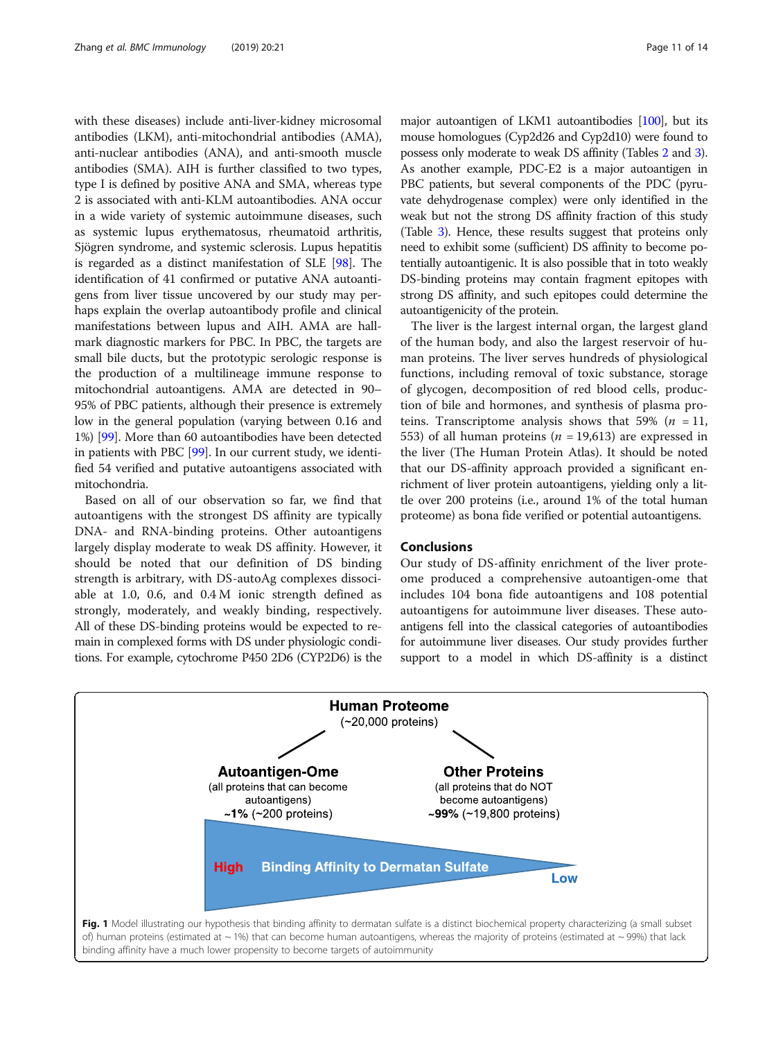<span id="page-10-0"></span>with these diseases) include anti-liver-kidney microsomal antibodies (LKM), anti-mitochondrial antibodies (AMA), anti-nuclear antibodies (ANA), and anti-smooth muscle antibodies (SMA). AIH is further classified to two types, type I is defined by positive ANA and SMA, whereas type 2 is associated with anti-KLM autoantibodies. ANA occur in a wide variety of systemic autoimmune diseases, such as systemic lupus erythematosus, rheumatoid arthritis, Sjögren syndrome, and systemic sclerosis. Lupus hepatitis is regarded as a distinct manifestation of SLE [\[98](#page-13-0)]. The identification of 41 confirmed or putative ANA autoantigens from liver tissue uncovered by our study may perhaps explain the overlap autoantibody profile and clinical manifestations between lupus and AIH. AMA are hallmark diagnostic markers for PBC. In PBC, the targets are small bile ducts, but the prototypic serologic response is the production of a multilineage immune response to mitochondrial autoantigens. AMA are detected in 90– 95% of PBC patients, although their presence is extremely low in the general population (varying between 0.16 and 1%) [\[99\]](#page-13-0). More than 60 autoantibodies have been detected in patients with PBC [[99\]](#page-13-0). In our current study, we identified 54 verified and putative autoantigens associated with mitochondria.

Based on all of our observation so far, we find that autoantigens with the strongest DS affinity are typically DNA- and RNA-binding proteins. Other autoantigens largely display moderate to weak DS affinity. However, it should be noted that our definition of DS binding strength is arbitrary, with DS-autoAg complexes dissociable at 1.0, 0.6, and 0.4 M ionic strength defined as strongly, moderately, and weakly binding, respectively. All of these DS-binding proteins would be expected to remain in complexed forms with DS under physiologic conditions. For example, cytochrome P450 2D6 (CYP2D6) is the

major autoantigen of LKM1 autoantibodies [\[100\]](#page-13-0), but its mouse homologues (Cyp2d26 and Cyp2d10) were found to possess only moderate to weak DS affinity (Tables [2](#page-5-0) and [3](#page-7-0)). As another example, PDC-E2 is a major autoantigen in PBC patients, but several components of the PDC (pyruvate dehydrogenase complex) were only identified in the weak but not the strong DS affinity fraction of this study (Table [3](#page-7-0)). Hence, these results suggest that proteins only need to exhibit some (sufficient) DS affinity to become potentially autoantigenic. It is also possible that in toto weakly DS-binding proteins may contain fragment epitopes with strong DS affinity, and such epitopes could determine the autoantigenicity of the protein.

The liver is the largest internal organ, the largest gland of the human body, and also the largest reservoir of human proteins. The liver serves hundreds of physiological functions, including removal of toxic substance, storage of glycogen, decomposition of red blood cells, production of bile and hormones, and synthesis of plasma proteins. Transcriptome analysis shows that 59% ( $n = 11$ , 553) of all human proteins ( $n = 19,613$ ) are expressed in the liver (The Human Protein Atlas). It should be noted that our DS-affinity approach provided a significant enrichment of liver protein autoantigens, yielding only a little over 200 proteins (i.e., around 1% of the total human proteome) as bona fide verified or potential autoantigens.

## Conclusions

Our study of DS-affinity enrichment of the liver proteome produced a comprehensive autoantigen-ome that includes 104 bona fide autoantigens and 108 potential autoantigens for autoimmune liver diseases. These autoantigens fell into the classical categories of autoantibodies for autoimmune liver diseases. Our study provides further support to a model in which DS-affinity is a distinct

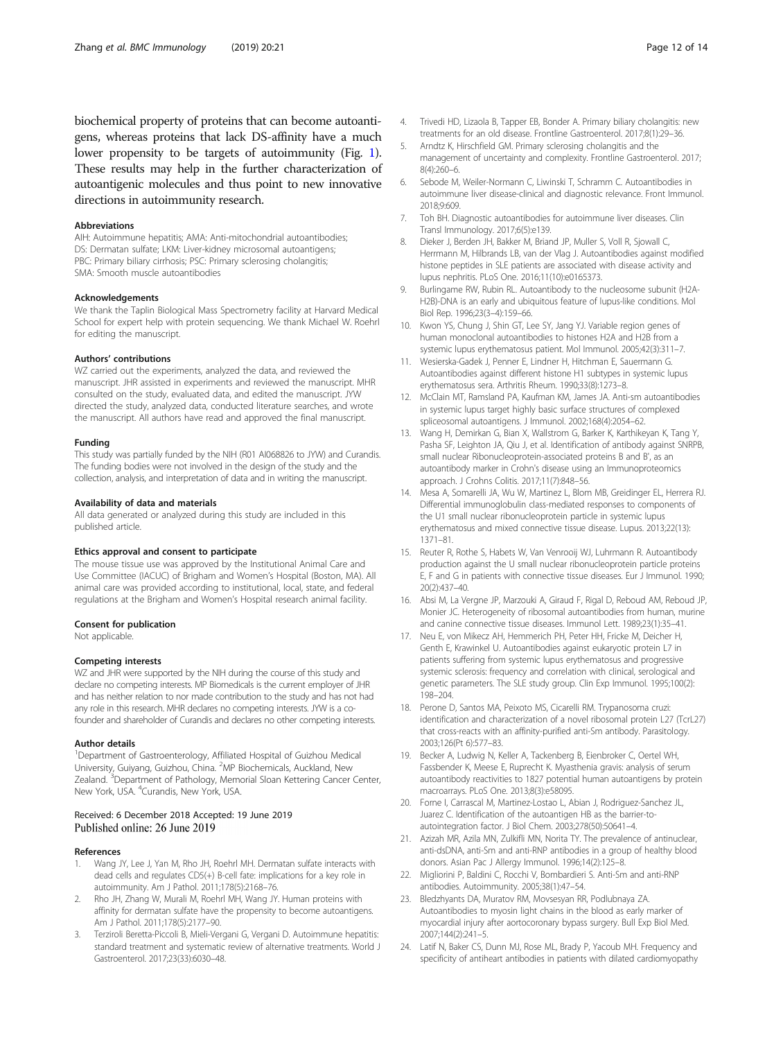<span id="page-11-0"></span>biochemical property of proteins that can become autoantigens, whereas proteins that lack DS-affinity have a much lower propensity to be targets of autoimmunity (Fig. [1](#page-10-0)). These results may help in the further characterization of autoantigenic molecules and thus point to new innovative directions in autoimmunity research.

#### Abbreviations

AIH: Autoimmune hepatitis; AMA: Anti-mitochondrial autoantibodies; DS: Dermatan sulfate; LKM: Liver-kidney microsomal autoantigens; PBC: Primary biliary cirrhosis; PSC: Primary sclerosing cholangitis; SMA: Smooth muscle autoantibodies

#### Acknowledgements

We thank the Taplin Biological Mass Spectrometry facility at Harvard Medical School for expert help with protein sequencing. We thank Michael W. Roehrl for editing the manuscript.

#### Authors' contributions

WZ carried out the experiments, analyzed the data, and reviewed the manuscript. JHR assisted in experiments and reviewed the manuscript. MHR consulted on the study, evaluated data, and edited the manuscript. JYW directed the study, analyzed data, conducted literature searches, and wrote the manuscript. All authors have read and approved the final manuscript.

#### Funding

This study was partially funded by the NIH (R01 AI068826 to JYW) and Curandis. The funding bodies were not involved in the design of the study and the collection, analysis, and interpretation of data and in writing the manuscript.

#### Availability of data and materials

All data generated or analyzed during this study are included in this published article.

#### Ethics approval and consent to participate

The mouse tissue use was approved by the Institutional Animal Care and Use Committee (IACUC) of Brigham and Women's Hospital (Boston, MA). All animal care was provided according to institutional, local, state, and federal regulations at the Brigham and Women's Hospital research animal facility.

#### Consent for publication

Not applicable.

#### Competing interests

WZ and JHR were supported by the NIH during the course of this study and declare no competing interests. MP Biomedicals is the current employer of JHR and has neither relation to nor made contribution to the study and has not had any role in this research. MHR declares no competing interests. JYW is a cofounder and shareholder of Curandis and declares no other competing interests.

#### Author details

<sup>1</sup>Department of Gastroenterology, Affiliated Hospital of Guizhou Medical University, Guiyang, Guizhou, China. <sup>2</sup>MP Biochemicals, Auckland, New Zealand. <sup>3</sup>Department of Pathology, Memorial Sloan Kettering Cancer Center, New York, USA. <sup>4</sup>Curandis, New York, USA.

#### Received: 6 December 2018 Accepted: 19 June 2019 Published online: 26 June 2019

#### References

- 1. Wang JY, Lee J, Yan M, Rho JH, Roehrl MH. Dermatan sulfate interacts with dead cells and regulates CD5(+) B-cell fate: implications for a key role in autoimmunity. Am J Pathol. 2011;178(5):2168–76.
- 2. Rho JH, Zhang W, Murali M, Roehrl MH, Wang JY. Human proteins with affinity for dermatan sulfate have the propensity to become autoantigens. Am J Pathol. 2011;178(5):2177–90.
- Terziroli Beretta-Piccoli B, Mieli-Vergani G, Vergani D. Autoimmune hepatitis: standard treatment and systematic review of alternative treatments. World J Gastroenterol. 2017;23(33):6030–48.
- 4. Trivedi HD, Lizaola B, Tapper EB, Bonder A. Primary biliary cholangitis: new treatments for an old disease. Frontline Gastroenterol. 2017;8(1):29–36.
- 5. Arndtz K, Hirschfield GM. Primary sclerosing cholangitis and the management of uncertainty and complexity. Frontline Gastroenterol. 2017; 8(4):260–6.
- 6. Sebode M, Weiler-Normann C, Liwinski T, Schramm C. Autoantibodies in autoimmune liver disease-clinical and diagnostic relevance. Front Immunol. 2018;9:609.
- 7. Toh BH. Diagnostic autoantibodies for autoimmune liver diseases. Clin Transl Immunology. 2017;6(5):e139.
- 8. Dieker J, Berden JH, Bakker M, Briand JP, Muller S, Voll R, Sjowall C, Herrmann M, Hilbrands LB, van der Vlag J. Autoantibodies against modified histone peptides in SLE patients are associated with disease activity and lupus nephritis. PLoS One. 2016;11(10):e0165373.
- 9. Burlingame RW, Rubin RL. Autoantibody to the nucleosome subunit (H2A-H2B)-DNA is an early and ubiquitous feature of lupus-like conditions. Mol Biol Rep. 1996;23(3–4):159–66.
- 10. Kwon YS, Chung J, Shin GT, Lee SY, Jang YJ. Variable region genes of human monoclonal autoantibodies to histones H2A and H2B from a systemic lupus erythematosus patient. Mol Immunol. 2005;42(3):311–7.
- 11. Wesierska-Gadek J, Penner E, Lindner H, Hitchman E, Sauermann G. Autoantibodies against different histone H1 subtypes in systemic lupus erythematosus sera. Arthritis Rheum. 1990;33(8):1273–8.
- 12. McClain MT, Ramsland PA, Kaufman KM, James JA. Anti-sm autoantibodies in systemic lupus target highly basic surface structures of complexed spliceosomal autoantigens. J Immunol. 2002;168(4):2054–62.
- 13. Wang H, Demirkan G, Bian X, Wallstrom G, Barker K, Karthikeyan K, Tang Y, Pasha SF, Leighton JA, Qiu J, et al. Identification of antibody against SNRPB, small nuclear Ribonucleoprotein-associated proteins B and B', as an autoantibody marker in Crohn's disease using an Immunoproteomics approach. J Crohns Colitis. 2017;11(7):848–56.
- 14. Mesa A, Somarelli JA, Wu W, Martinez L, Blom MB, Greidinger EL, Herrera RJ. Differential immunoglobulin class-mediated responses to components of the U1 small nuclear ribonucleoprotein particle in systemic lupus erythematosus and mixed connective tissue disease. Lupus. 2013;22(13): 1371–81.
- 15. Reuter R, Rothe S, Habets W, Van Venrooij WJ, Luhrmann R. Autoantibody production against the U small nuclear ribonucleoprotein particle proteins E, F and G in patients with connective tissue diseases. Eur J Immunol. 1990; 20(2):437–40.
- 16. Absi M, La Vergne JP, Marzouki A, Giraud F, Rigal D, Reboud AM, Reboud JP, Monier JC. Heterogeneity of ribosomal autoantibodies from human, murine and canine connective tissue diseases. Immunol Lett. 1989;23(1):35–41.
- 17. Neu E, von Mikecz AH, Hemmerich PH, Peter HH, Fricke M, Deicher H, Genth E, Krawinkel U. Autoantibodies against eukaryotic protein L7 in patients suffering from systemic lupus erythematosus and progressive systemic sclerosis: frequency and correlation with clinical, serological and genetic parameters. The SLE study group. Clin Exp Immunol. 1995;100(2): 198–204.
- 18. Perone D, Santos MA, Peixoto MS, Cicarelli RM. Trypanosoma cruzi: identification and characterization of a novel ribosomal protein L27 (TcrL27) that cross-reacts with an affinity-purified anti-Sm antibody. Parasitology. 2003;126(Pt 6):577–83.
- 19. Becker A, Ludwig N, Keller A, Tackenberg B, Eienbroker C, Oertel WH, Fassbender K, Meese E, Ruprecht K. Myasthenia gravis: analysis of serum autoantibody reactivities to 1827 potential human autoantigens by protein macroarrays. PLoS One. 2013;8(3):e58095.
- 20. Forne I, Carrascal M, Martinez-Lostao L, Abian J, Rodriguez-Sanchez JL, Juarez C. Identification of the autoantigen HB as the barrier-toautointegration factor. J Biol Chem. 2003;278(50):50641–4.
- 21. Azizah MR, Azila MN, Zulkifli MN, Norita TY. The prevalence of antinuclear, anti-dsDNA, anti-Sm and anti-RNP antibodies in a group of healthy blood donors. Asian Pac J Allergy Immunol. 1996;14(2):125–8.
- 22. Migliorini P, Baldini C, Rocchi V, Bombardieri S. Anti-Sm and anti-RNP antibodies. Autoimmunity. 2005;38(1):47–54.
- 23. Bledzhyants DA, Muratov RM, Movsesyan RR, Podlubnaya ZA. Autoantibodies to myosin light chains in the blood as early marker of myocardial injury after aortocoronary bypass surgery. Bull Exp Biol Med. 2007;144(2):241–5.
- 24. Latif N, Baker CS, Dunn MJ, Rose ML, Brady P, Yacoub MH. Frequency and specificity of antiheart antibodies in patients with dilated cardiomyopathy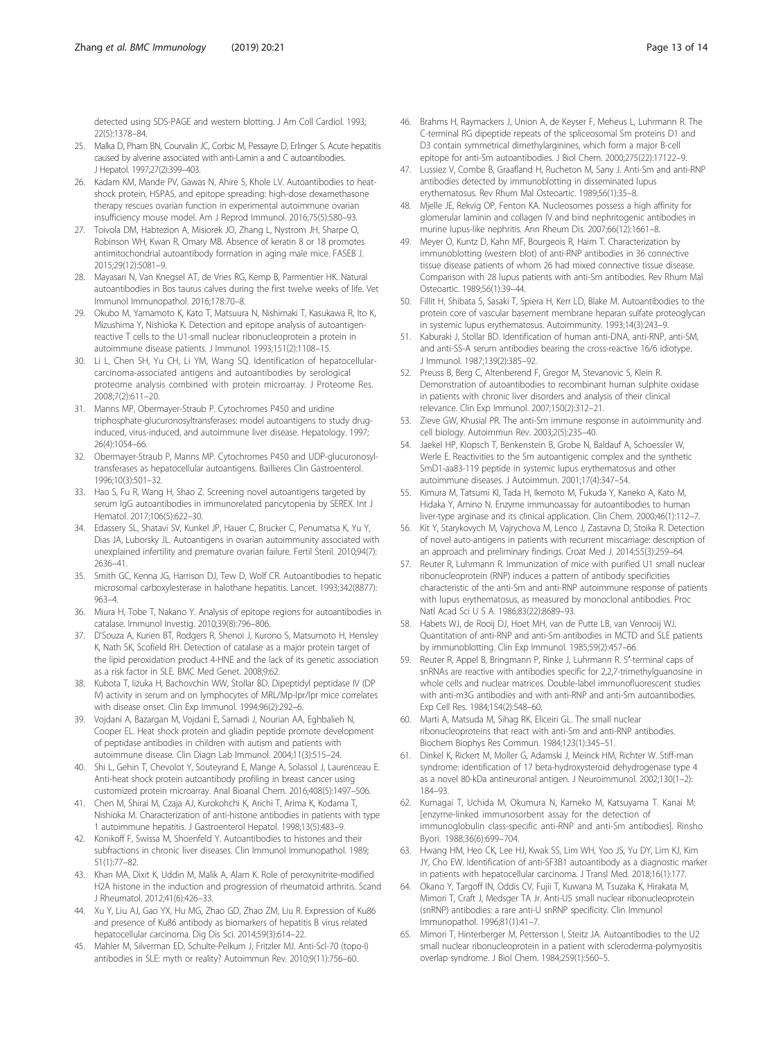<span id="page-12-0"></span>detected using SDS-PAGE and western blotting. J Am Coll Cardiol. 1993; 22(5):1378–84.

- 25. Malka D, Pham BN, Courvalin JC, Corbic M, Pessayre D, Erlinger S. Acute hepatitis caused by alverine associated with anti-Lamin a and C autoantibodies. J Hepatol. 1997;27(2):399–403.
- 26. Kadam KM, Mande PV, Gawas N, Ahire S, Khole LV. Autoantibodies to heatshock protein, HSPA5, and epitope spreading: high-dose dexamethasone therapy rescues ovarian function in experimental autoimmune ovarian insufficiency mouse model. Am J Reprod Immunol. 2016;75(5):580–93.
- 27. Toivola DM, Habtezion A, Misiorek JO, Zhang L, Nystrom JH, Sharpe O, Robinson WH, Kwan R, Omary MB. Absence of keratin 8 or 18 promotes antimitochondrial autoantibody formation in aging male mice. FASEB J. 2015;29(12):5081–9.
- 28. Mayasari N, Van Knegsel AT, de Vries RG, Kemp B, Parmentier HK. Natural autoantibodies in Bos taurus calves during the first twelve weeks of life. Vet Immunol Immunopathol. 2016;178:70–8.
- 29. Okubo M, Yamamoto K, Kato T, Matsuura N, Nishimaki T, Kasukawa R, Ito K, Mizushima Y, Nishioka K. Detection and epitope analysis of autoantigenreactive T cells to the U1-small nuclear ribonucleoprotein a protein in autoimmune disease patients. J Immunol. 1993;151(2):1108–15.
- 30. Li L, Chen SH, Yu CH, Li YM, Wang SQ. Identification of hepatocellularcarcinoma-associated antigens and autoantibodies by serological proteome analysis combined with protein microarray. J Proteome Res. 2008;7(2):611–20.
- 31. Manns MP, Obermayer-Straub P. Cytochromes P450 and uridine triphosphate-glucuronosyltransferases: model autoantigens to study druginduced, virus-induced, and autoimmune liver disease. Hepatology. 1997; 26(4):1054–66.
- 32. Obermayer-Straub P, Manns MP. Cytochromes P450 and UDP-glucuronosyltransferases as hepatocellular autoantigens. Baillieres Clin Gastroenterol. 1996;10(3):501–32.
- 33. Hao S, Fu R, Wang H, Shao Z. Screening novel autoantigens targeted by serum IgG autoantibodies in immunorelated pancytopenia by SEREX. Int J Hematol. 2017;106(5):622–30.
- 34. Edassery SL, Shatavi SV, Kunkel JP, Hauer C, Brucker C, Penumatsa K, Yu Y, Dias JA, Luborsky JL. Autoantigens in ovarian autoimmunity associated with unexplained infertility and premature ovarian failure. Fertil Steril. 2010;94(7): 2636–41.
- 35. Smith GC, Kenna JG, Harrison DJ, Tew D, Wolf CR. Autoantibodies to hepatic microsomal carboxylesterase in halothane hepatitis. Lancet. 1993;342(8877): 963–4.
- 36. Miura H, Tobe T, Nakano Y. Analysis of epitope regions for autoantibodies in catalase. Immunol Investig. 2010;39(8):796–806.
- 37. D'Souza A, Kurien BT, Rodgers R, Shenoi J, Kurono S, Matsumoto H, Hensley K, Nath SK, Scofield RH. Detection of catalase as a major protein target of the lipid peroxidation product 4-HNE and the lack of its genetic association as a risk factor in SLE. BMC Med Genet. 2008;9:62.
- 38. Kubota T, Iizuka H, Bachovchin WW, Stollar BD. Dipeptidyl peptidase IV (DP IV) activity in serum and on lymphocytes of MRL/Mp-lpr/lpr mice correlates with disease onset. Clin Exp Immunol. 1994;96(2):292–6.
- 39. Vojdani A, Bazargan M, Vojdani E, Samadi J, Nourian AA, Eghbalieh N, Cooper EL. Heat shock protein and gliadin peptide promote development of peptidase antibodies in children with autism and patients with autoimmune disease. Clin Diagn Lab Immunol. 2004;11(3):515–24.
- 40. Shi L, Gehin T, Chevolot Y, Souteyrand E, Mange A, Solassol J, Laurenceau E. Anti-heat shock protein autoantibody profiling in breast cancer using customized protein microarray. Anal Bioanal Chem. 2016;408(5):1497–506.
- 41. Chen M, Shirai M, Czaja AJ, Kurokohchi K, Arichi T, Arima K, Kodama T, Nishioka M. Characterization of anti-histone antibodies in patients with type 1 autoimmune hepatitis. J Gastroenterol Hepatol. 1998;13(5):483–9.
- 42. Konikoff F, Swissa M, Shoenfeld Y. Autoantibodies to histones and their subfractions in chronic liver diseases. Clin Immunol Immunopathol. 1989; 51(1):77–82.
- 43. Khan MA, Dixit K, Uddin M, Malik A, Alam K. Role of peroxynitrite-modified H2A histone in the induction and progression of rheumatoid arthritis. Scand J Rheumatol. 2012;41(6):426–33.
- 44. Xu Y, Liu AJ, Gao YX, Hu MG, Zhao GD, Zhao ZM, Liu R. Expression of Ku86 and presence of Ku86 antibody as biomarkers of hepatitis B virus related hepatocellular carcinoma. Dig Dis Sci. 2014;59(3):614–22.
- 45. Mahler M, Silverman ED, Schulte-Pelkum J, Fritzler MJ. Anti-Scl-70 (topo-I) antibodies in SLE: myth or reality? Autoimmun Rev. 2010;9(11):756–60.
- 46. Brahms H, Raymackers J, Union A, de Keyser F, Meheus L, Luhrmann R. The C-terminal RG dipeptide repeats of the spliceosomal Sm proteins D1 and D3 contain symmetrical dimethylarginines, which form a major B-cell epitope for anti-Sm autoantibodies. J Biol Chem. 2000;275(22):17122–9.
- 47. Lussiez V, Combe B, Graafland H, Rucheton M, Sany J. Anti-Sm and anti-RNP antibodies detected by immunoblotting in disseminated lupus erythematosus. Rev Rhum Mal Osteoartic. 1989;56(1):35–8.
- 48. Mjelle JE, Rekvig OP, Fenton KA. Nucleosomes possess a high affinity for glomerular laminin and collagen IV and bind nephritogenic antibodies in murine lupus-like nephritis. Ann Rheum Dis. 2007;66(12):1661–8.
- 49. Meyer O, Kuntz D, Kahn MF, Bourgeois R, Haim T. Characterization by immunoblotting (western blot) of anti-RNP antibodies in 36 connective tissue disease patients of whom 26 had mixed connective tissue disease. Comparison with 28 lupus patients with anti-Sm antibodies. Rev Rhum Mal Osteoartic. 1989;56(1):39–44.
- 50. Fillit H, Shibata S, Sasaki T, Spiera H, Kerr LD, Blake M. Autoantibodies to the protein core of vascular basement membrane heparan sulfate proteoglycan in systemic lupus erythematosus. Autoimmunity. 1993;14(3):243–9.
- 51. Kaburaki J, Stollar BD. Identification of human anti-DNA, anti-RNP, anti-SM, and anti-SS-A serum antibodies bearing the cross-reactive 16/6 idiotype. J Immunol. 1987;139(2):385–92.
- 52. Preuss B, Berg C, Altenberend F, Gregor M, Stevanovic S, Klein R. Demonstration of autoantibodies to recombinant human sulphite oxidase in patients with chronic liver disorders and analysis of their clinical relevance. Clin Exp Immunol. 2007;150(2):312–21.
- 53. Zieve GW, Khusial PR. The anti-Sm immune response in autoimmunity and cell biology. Autoimmun Rev. 2003;2(5):235–40.
- 54. Jaekel HP, Klopsch T, Benkenstein B, Grobe N, Baldauf A, Schoessler W, Werle E. Reactivities to the Sm autoantigenic complex and the synthetic SmD1-aa83-119 peptide in systemic lupus erythematosus and other autoimmune diseases. J Autoimmun. 2001;17(4):347–54.
- 55. Kimura M, Tatsumi KI, Tada H, Ikemoto M, Fukuda Y, Kaneko A, Kato M, Hidaka Y, Amino N. Enzyme immunoassay for autoantibodies to human liver-type arginase and its clinical application. Clin Chem. 2000;46(1):112–7.
- 56. Kit Y, Starykovych M, Vajrychova M, Lenco J, Zastavna D, Stoika R. Detection of novel auto-antigens in patients with recurrent miscarriage: description of an approach and preliminary findings. Croat Med J. 2014;55(3):259–64.
- 57. Reuter R, Luhrmann R. Immunization of mice with purified U1 small nuclear ribonucleoprotein (RNP) induces a pattern of antibody specificities characteristic of the anti-Sm and anti-RNP autoimmune response of patients with lupus erythematosus, as measured by monoclonal antibodies. Proc Natl Acad Sci U S A. 1986;83(22):8689–93.
- 58. Habets WJ, de Rooij DJ, Hoet MH, van de Putte LB, van Venrooij WJ. Quantitation of anti-RNP and anti-Sm antibodies in MCTD and SLE patients by immunoblotting. Clin Exp Immunol. 1985;59(2):457–66.
- 59. Reuter R, Appel B, Bringmann P, Rinke J, Luhrmann R. 5′-terminal caps of snRNAs are reactive with antibodies specific for 2,2,7-trimethylguanosine in whole cells and nuclear matrices. Double-label immunofluorescent studies with anti-m3G antibodies and with anti-RNP and anti-Sm autoantibodies. Exp Cell Res. 1984;154(2):548–60.
- 60. Marti A, Matsuda M, Sihag RK, Eliceiri GL. The small nuclear ribonucleoproteins that react with anti-Sm and anti-RNP antibodies. Biochem Biophys Res Commun. 1984;123(1):345–51.
- 61. Dinkel K, Rickert M, Moller G, Adamski J, Meinck HM, Richter W. Stiff-man syndrome: identification of 17 beta-hydroxysteroid dehydrogenase type 4 as a novel 80-kDa antineuronal antigen. J Neuroimmunol. 2002;130(1–2): 184–93.
- 62. Kumagai T, Uchida M, Okumura N, Kameko M, Katsuyama T. Kanai M: [enzyme-linked immunosorbent assay for the detection of immunoglobulin class-specific anti-RNP and anti-Sm antibodies]. Rinsho Byori. 1988;36(6):699–704.
- 63. Hwang HM, Heo CK, Lee HJ, Kwak SS, Lim WH, Yoo JS, Yu DY, Lim KJ, Kim JY, Cho EW. Identification of anti-SF3B1 autoantibody as a diagnostic marker in patients with hepatocellular carcinoma. J Transl Med. 2018;16(1):177.
- 64. Okano Y, Targoff IN, Oddis CV, Fujii T, Kuwana M, Tsuzaka K, Hirakata M, Mimori T, Craft J, Medsger TA Jr. Anti-U5 small nuclear ribonucleoprotein (snRNP) antibodies: a rare anti-U snRNP specificity. Clin Immunol Immunopathol. 1996;81(1):41–7.
- 65. Mimori T, Hinterberger M, Pettersson I, Steitz JA. Autoantibodies to the U2 small nuclear ribonucleoprotein in a patient with scleroderma-polymyositis overlap syndrome. J Biol Chem. 1984;259(1):560–5.